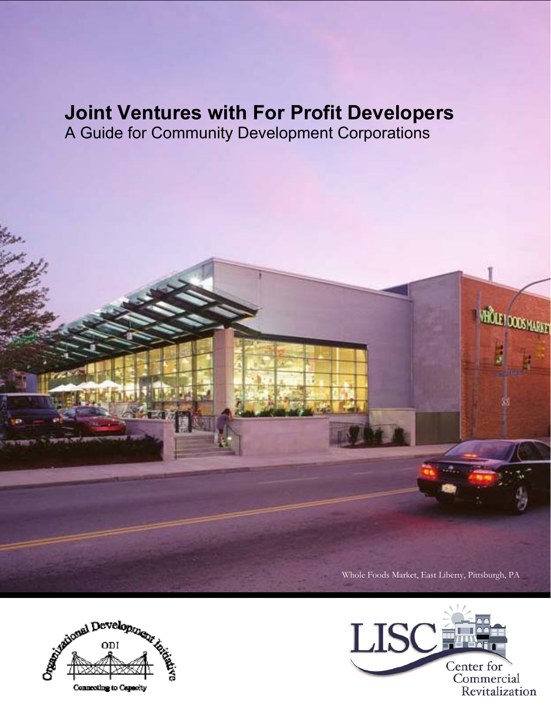# **Joint Ventures with For Profit Developers**

A Guide for Community Development Corporations







VHOLET DODS MARKET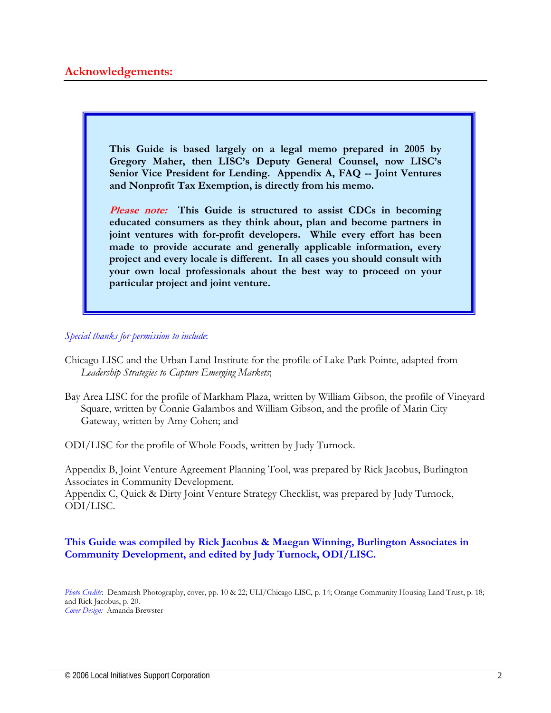**This Guide is based largely on a legal memo prepared in 2005 by Gregory Maher, then LISC's Deputy General Counsel, now LISC's Senior Vice President for Lending. Appendix A, FAQ -- Joint Ventures and Nonprofit Tax Exemption, is directly from his memo.** 

**Please note: This Guide is structured to assist CDCs in becoming educated consumers as they think about, plan and become partners in joint ventures with for-profit developers. While every effort has been made to provide accurate and generally applicable information, every project and every locale is different. In all cases you should consult with your own local professionals about the best way to proceed on your particular project and joint venture.** 

#### *Special thanks for permission to include*:

- Chicago LISC and the Urban Land Institute for the profile of Lake Park Pointe, adapted from *Leadership Strategies to Capture Emerging Markets*;
- Bay Area LISC for the profile of Markham Plaza, written by William Gibson, the profile of Vineyard Square, written by Connie Galambos and William Gibson, and the profile of Marin City Gateway, written by Amy Cohen; and

ODI/LISC for the profile of Whole Foods, written by Judy Turnock.

Appendix B, Joint Venture Agreement Planning Tool, was prepared by Rick Jacobus, Burlington Associates in Community Development.

Appendix C, Quick & Dirty Joint Venture Strategy Checklist, was prepared by Judy Turnock, ODI/LISC.

## **This Guide was compiled by Rick Jacobus & Maegan Winning, Burlington Associates in Community Development, and edited by Judy Turnock, ODI/LISC.**

*Photo Credits*: Denmarsh Photography, cover, pp. 10 & 22; ULI/Chicago LISC, p. 14; Orange Community Housing Land Trust, p. 18; and Rick Jacobus, p. 20. *Cover Design:* Amanda Brewster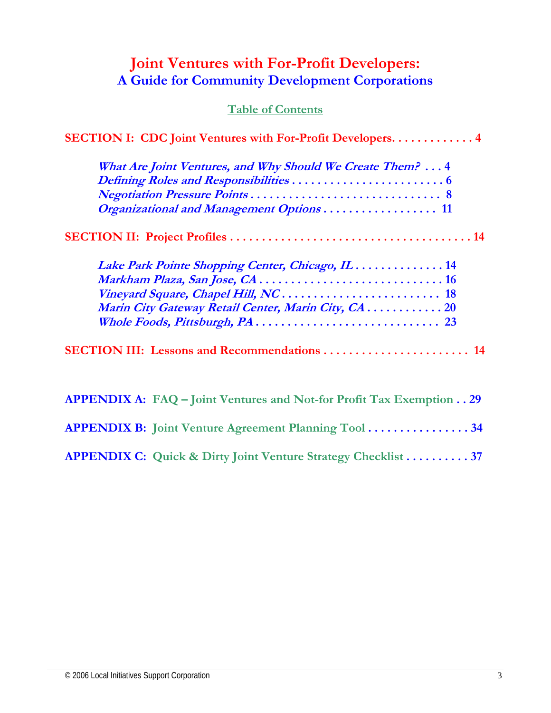# **Joint Ventures with For-Profit Developers: A Guide for Community Development Corporations**

# **Table of Contents**

| <b>SECTION I: CDC Joint Ventures with For-Profit Developers 4</b>           |
|-----------------------------------------------------------------------------|
| What Are Joint Ventures, and Why Should We Create Them? 4                   |
|                                                                             |
|                                                                             |
| Organizational and Management Options 11                                    |
|                                                                             |
| Lake Park Pointe Shopping Center, Chicago, IL  14                           |
|                                                                             |
|                                                                             |
| Marin City Gateway Retail Center, Marin City, CA. 20                        |
|                                                                             |
| <b>SECTION III: Lessons and Recommendations  14</b>                         |
| <b>APPENDIX A: FAQ - Joint Ventures and Not-for Profit Tax Exemption 29</b> |
| <b>APPENDIX B:</b> Joint Venture Agreement Planning Tool 34                 |

**APPENDIX C: Quick & Dirty Joint Venture Strategy Checklist . . . . . . . . . . 37**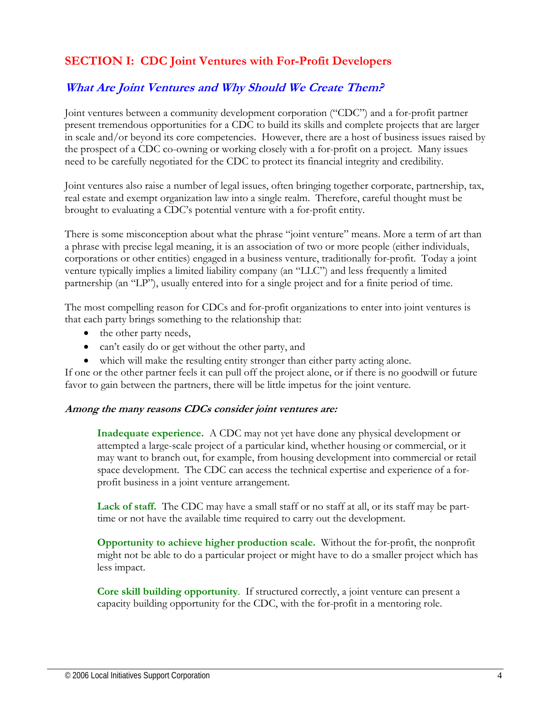# **SECTION I: CDC Joint Ventures with For-Profit Developers**

# **What Are Joint Ventures and Why Should We Create Them?**

Joint ventures between a community development corporation ("CDC") and a for-profit partner present tremendous opportunities for a CDC to build its skills and complete projects that are larger in scale and/or beyond its core competencies. However, there are a host of business issues raised by the prospect of a CDC co-owning or working closely with a for-profit on a project. Many issues need to be carefully negotiated for the CDC to protect its financial integrity and credibility.

Joint ventures also raise a number of legal issues, often bringing together corporate, partnership, tax, real estate and exempt organization law into a single realm. Therefore, careful thought must be brought to evaluating a CDC's potential venture with a for-profit entity.

There is some misconception about what the phrase "joint venture" means. More a term of art than a phrase with precise legal meaning, it is an association of two or more people (either individuals, corporations or other entities) engaged in a business venture, traditionally for-profit. Today a joint venture typically implies a limited liability company (an "LLC") and less frequently a limited partnership (an "LP"), usually entered into for a single project and for a finite period of time.

The most compelling reason for CDCs and for-profit organizations to enter into joint ventures is that each party brings something to the relationship that:

- the other party needs,
- can't easily do or get without the other party, and
- which will make the resulting entity stronger than either party acting alone.

If one or the other partner feels it can pull off the project alone, or if there is no goodwill or future favor to gain between the partners, there will be little impetus for the joint venture.

#### **Among the many reasons CDCs consider joint ventures are:**

**Inadequate experience.** A CDC may not yet have done any physical development or attempted a large-scale project of a particular kind, whether housing or commercial, or it may want to branch out, for example, from housing development into commercial or retail space development. The CDC can access the technical expertise and experience of a forprofit business in a joint venture arrangement.

**Lack of staff.** The CDC may have a small staff or no staff at all, or its staff may be parttime or not have the available time required to carry out the development.

**Opportunity to achieve higher production scale.** Without the for-profit, the nonprofit might not be able to do a particular project or might have to do a smaller project which has less impact.

**Core skill building opportunity**. If structured correctly, a joint venture can present a capacity building opportunity for the CDC, with the for-profit in a mentoring role.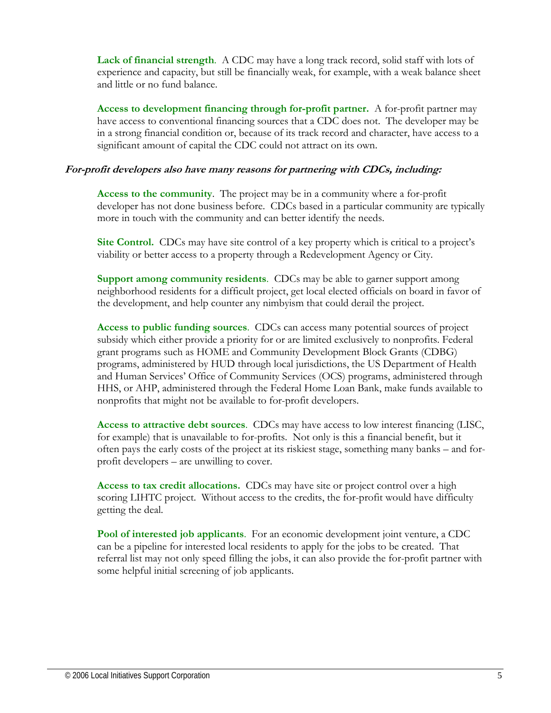**Lack of financial strength**. A CDC may have a long track record, solid staff with lots of experience and capacity, but still be financially weak, for example, with a weak balance sheet and little or no fund balance.

**Access to development financing through for-profit partner.** A for-profit partner may have access to conventional financing sources that a CDC does not. The developer may be in a strong financial condition or, because of its track record and character, have access to a significant amount of capital the CDC could not attract on its own.

#### **For-profit developers also have many reasons for partnering with CDCs, including:**

**Access to the community**. The project may be in a community where a for-profit developer has not done business before. CDCs based in a particular community are typically more in touch with the community and can better identify the needs.

**Site Control.** CDCs may have site control of a key property which is critical to a project's viability or better access to a property through a Redevelopment Agency or City.

**Support among community residents**. CDCs may be able to garner support among neighborhood residents for a difficult project, get local elected officials on board in favor of the development, and help counter any nimbyism that could derail the project.

**Access to public funding sources**. CDCs can access many potential sources of project subsidy which either provide a priority for or are limited exclusively to nonprofits. Federal grant programs such as HOME and Community Development Block Grants (CDBG) programs, administered by HUD through local jurisdictions, the US Department of Health and Human Services' Office of Community Services (OCS) programs, administered through HHS, or AHP, administered through the Federal Home Loan Bank, make funds available to nonprofits that might not be available to for-profit developers.

**Access to attractive debt sources**. CDCs may have access to low interest financing (LISC, for example) that is unavailable to for-profits. Not only is this a financial benefit, but it often pays the early costs of the project at its riskiest stage, something many banks – and forprofit developers – are unwilling to cover.

**Access to tax credit allocations.** CDCs may have site or project control over a high scoring LIHTC project. Without access to the credits, the for-profit would have difficulty getting the deal.

**Pool of interested job applicants**. For an economic development joint venture, a CDC can be a pipeline for interested local residents to apply for the jobs to be created. That referral list may not only speed filling the jobs, it can also provide the for-profit partner with some helpful initial screening of job applicants.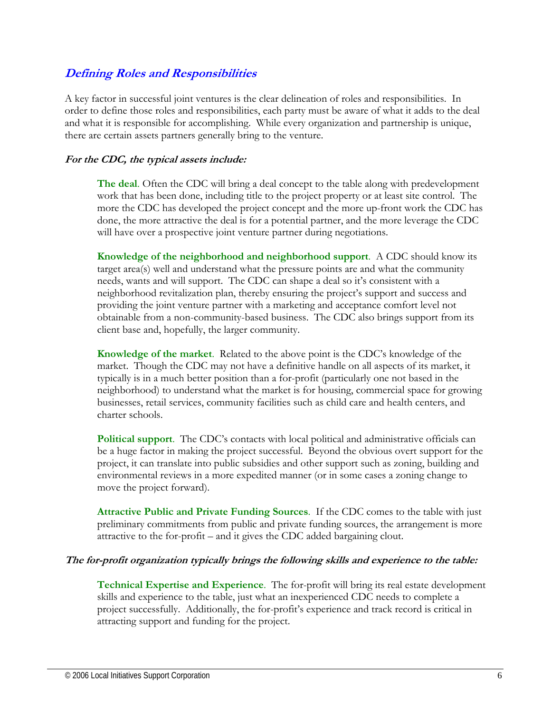# **Defining Roles and Responsibilities**

A key factor in successful joint ventures is the clear delineation of roles and responsibilities. In order to define those roles and responsibilities, each party must be aware of what it adds to the deal and what it is responsible for accomplishing. While every organization and partnership is unique, there are certain assets partners generally bring to the venture.

## **For the CDC, the typical assets include:**

**The deal**. Often the CDC will bring a deal concept to the table along with predevelopment work that has been done, including title to the project property or at least site control. The more the CDC has developed the project concept and the more up-front work the CDC has done, the more attractive the deal is for a potential partner, and the more leverage the CDC will have over a prospective joint venture partner during negotiations.

**Knowledge of the neighborhood and neighborhood support**. A CDC should know its target area(s) well and understand what the pressure points are and what the community needs, wants and will support. The CDC can shape a deal so it's consistent with a neighborhood revitalization plan, thereby ensuring the project's support and success and providing the joint venture partner with a marketing and acceptance comfort level not obtainable from a non-community-based business. The CDC also brings support from its client base and, hopefully, the larger community.

**Knowledge of the market**. Related to the above point is the CDC's knowledge of the market. Though the CDC may not have a definitive handle on all aspects of its market, it typically is in a much better position than a for-profit (particularly one not based in the neighborhood) to understand what the market is for housing, commercial space for growing businesses, retail services, community facilities such as child care and health centers, and charter schools.

**Political support**. The CDC's contacts with local political and administrative officials can be a huge factor in making the project successful. Beyond the obvious overt support for the project, it can translate into public subsidies and other support such as zoning, building and environmental reviews in a more expedited manner (or in some cases a zoning change to move the project forward).

**Attractive Public and Private Funding Sources**. If the CDC comes to the table with just preliminary commitments from public and private funding sources, the arrangement is more attractive to the for-profit – and it gives the CDC added bargaining clout.

#### **The for-profit organization typically brings the following skills and experience to the table:**

**Technical Expertise and Experience**. The for-profit will bring its real estate development skills and experience to the table, just what an inexperienced CDC needs to complete a project successfully. Additionally, the for-profit's experience and track record is critical in attracting support and funding for the project.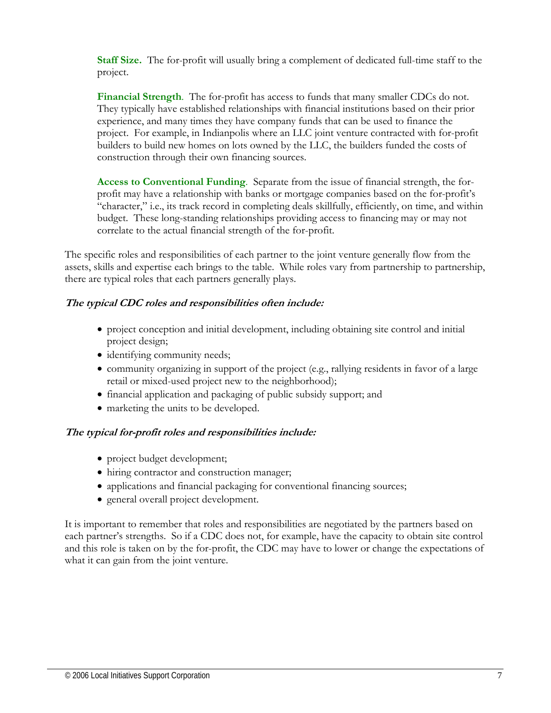**Staff Size.** The for-profit will usually bring a complement of dedicated full-time staff to the project.

**Financial Strength**. The for-profit has access to funds that many smaller CDCs do not. They typically have established relationships with financial institutions based on their prior experience, and many times they have company funds that can be used to finance the project. For example, in Indianpolis where an LLC joint venture contracted with for-profit builders to build new homes on lots owned by the LLC, the builders funded the costs of construction through their own financing sources.

**Access to Conventional Funding**. Separate from the issue of financial strength, the forprofit may have a relationship with banks or mortgage companies based on the for-profit's "character," i.e., its track record in completing deals skillfully, efficiently, on time, and within budget. These long-standing relationships providing access to financing may or may not correlate to the actual financial strength of the for-profit.

The specific roles and responsibilities of each partner to the joint venture generally flow from the assets, skills and expertise each brings to the table. While roles vary from partnership to partnership, there are typical roles that each partners generally plays.

#### **The typical CDC roles and responsibilities often include:**

- project conception and initial development, including obtaining site control and initial project design;
- identifying community needs;
- community organizing in support of the project (e.g., rallying residents in favor of a large retail or mixed-used project new to the neighborhood);
- financial application and packaging of public subsidy support; and
- marketing the units to be developed.

#### **The typical for-profit roles and responsibilities include:**

- project budget development;
- hiring contractor and construction manager;
- applications and financial packaging for conventional financing sources;
- general overall project development.

It is important to remember that roles and responsibilities are negotiated by the partners based on each partner's strengths. So if a CDC does not, for example, have the capacity to obtain site control and this role is taken on by the for-profit, the CDC may have to lower or change the expectations of what it can gain from the joint venture.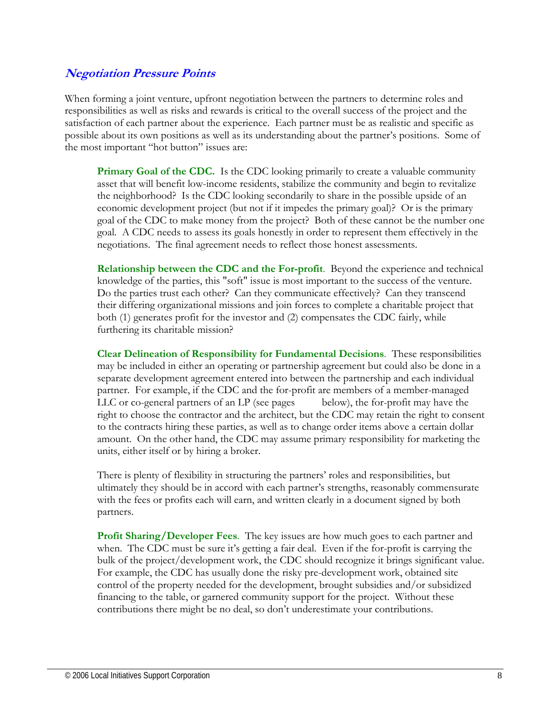# **Negotiation Pressure Points**

When forming a joint venture, upfront negotiation between the partners to determine roles and responsibilities as well as risks and rewards is critical to the overall success of the project and the satisfaction of each partner about the experience. Each partner must be as realistic and specific as possible about its own positions as well as its understanding about the partner's positions. Some of the most important "hot button" issues are:

**Primary Goal of the CDC.** Is the CDC looking primarily to create a valuable community asset that will benefit low-income residents, stabilize the community and begin to revitalize the neighborhood? Is the CDC looking secondarily to share in the possible upside of an economic development project (but not if it impedes the primary goal)? Or is the primary goal of the CDC to make money from the project? Both of these cannot be the number one goal. A CDC needs to assess its goals honestly in order to represent them effectively in the negotiations. The final agreement needs to reflect those honest assessments.

**Relationship between the CDC and the For-profit**. Beyond the experience and technical knowledge of the parties, this "soft" issue is most important to the success of the venture. Do the parties trust each other? Can they communicate effectively? Can they transcend their differing organizational missions and join forces to complete a charitable project that both (1) generates profit for the investor and (2) compensates the CDC fairly, while furthering its charitable mission?

**Clear Delineation of Responsibility for Fundamental Decisions**. These responsibilities may be included in either an operating or partnership agreement but could also be done in a separate development agreement entered into between the partnership and each individual partner. For example, if the CDC and the for-profit are members of a member-managed LLC or co-general partners of an LP (see pages below), the for-profit may have the right to choose the contractor and the architect, but the CDC may retain the right to consent to the contracts hiring these parties, as well as to change order items above a certain dollar amount. On the other hand, the CDC may assume primary responsibility for marketing the units, either itself or by hiring a broker.

There is plenty of flexibility in structuring the partners' roles and responsibilities, but ultimately they should be in accord with each partner's strengths, reasonably commensurate with the fees or profits each will earn, and written clearly in a document signed by both partners.

**Profit Sharing/Developer Fees**. The key issues are how much goes to each partner and when. The CDC must be sure it's getting a fair deal. Even if the for-profit is carrying the bulk of the project/development work, the CDC should recognize it brings significant value. For example, the CDC has usually done the risky pre-development work, obtained site control of the property needed for the development, brought subsidies and/or subsidized financing to the table, or garnered community support for the project. Without these contributions there might be no deal, so don't underestimate your contributions.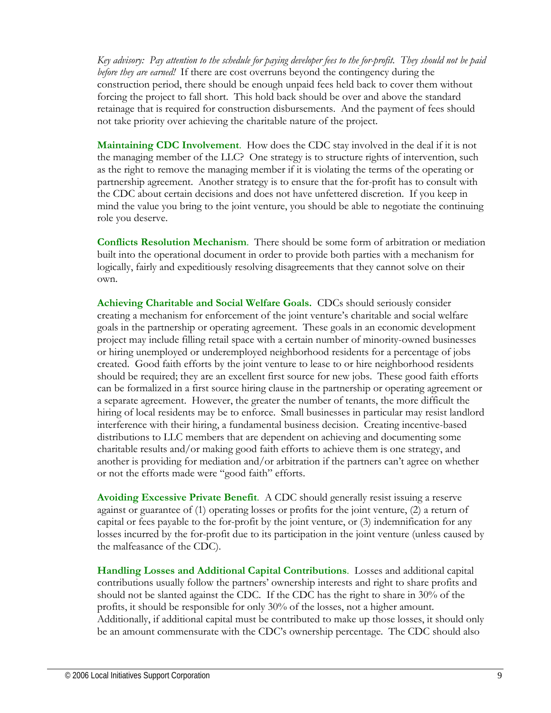*Key advisory: Pay attention to the schedule for paying developer fees to the for-profit. They should not be paid before they are earned!* If there are cost overruns beyond the contingency during the construction period, there should be enough unpaid fees held back to cover them without forcing the project to fall short. This hold back should be over and above the standard retainage that is required for construction disbursements. And the payment of fees should not take priority over achieving the charitable nature of the project.

**Maintaining CDC Involvement**. How does the CDC stay involved in the deal if it is not the managing member of the LLC? One strategy is to structure rights of intervention, such as the right to remove the managing member if it is violating the terms of the operating or partnership agreement. Another strategy is to ensure that the for-profit has to consult with the CDC about certain decisions and does not have unfettered discretion. If you keep in mind the value you bring to the joint venture, you should be able to negotiate the continuing role you deserve.

**Conflicts Resolution Mechanism**. There should be some form of arbitration or mediation built into the operational document in order to provide both parties with a mechanism for logically, fairly and expeditiously resolving disagreements that they cannot solve on their own.

**Achieving Charitable and Social Welfare Goals.** CDCs should seriously consider creating a mechanism for enforcement of the joint venture's charitable and social welfare goals in the partnership or operating agreement. These goals in an economic development project may include filling retail space with a certain number of minority-owned businesses or hiring unemployed or underemployed neighborhood residents for a percentage of jobs created. Good faith efforts by the joint venture to lease to or hire neighborhood residents should be required; they are an excellent first source for new jobs. These good faith efforts can be formalized in a first source hiring clause in the partnership or operating agreement or a separate agreement. However, the greater the number of tenants, the more difficult the hiring of local residents may be to enforce. Small businesses in particular may resist landlord interference with their hiring, a fundamental business decision. Creating incentive-based distributions to LLC members that are dependent on achieving and documenting some charitable results and/or making good faith efforts to achieve them is one strategy, and another is providing for mediation and/or arbitration if the partners can't agree on whether or not the efforts made were "good faith" efforts.

**Avoiding Excessive Private Benefit**. A CDC should generally resist issuing a reserve against or guarantee of (1) operating losses or profits for the joint venture, (2) a return of capital or fees payable to the for-profit by the joint venture, or (3) indemnification for any losses incurred by the for-profit due to its participation in the joint venture (unless caused by the malfeasance of the CDC).

**Handling Losses and Additional Capital Contributions**. Losses and additional capital contributions usually follow the partners' ownership interests and right to share profits and should not be slanted against the CDC. If the CDC has the right to share in 30% of the profits, it should be responsible for only 30% of the losses, not a higher amount. Additionally, if additional capital must be contributed to make up those losses, it should only be an amount commensurate with the CDC's ownership percentage. The CDC should also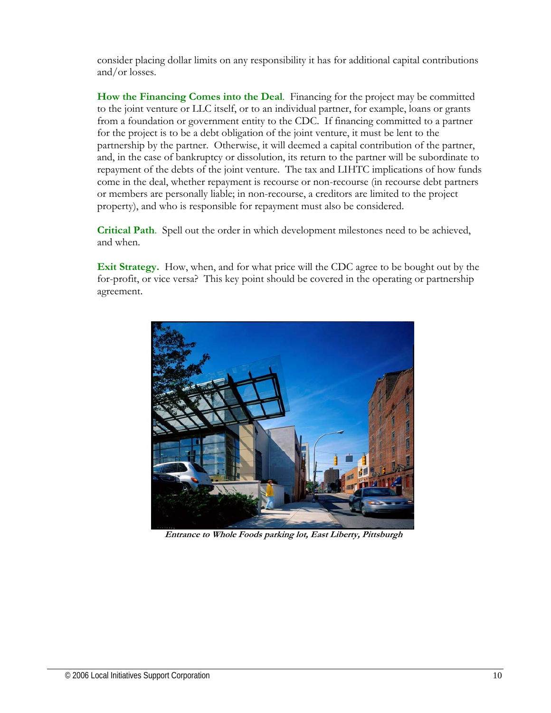consider placing dollar limits on any responsibility it has for additional capital contributions and/or losses.

**How the Financing Comes into the Deal**. Financing for the project may be committed to the joint venture or LLC itself, or to an individual partner, for example, loans or grants from a foundation or government entity to the CDC. If financing committed to a partner for the project is to be a debt obligation of the joint venture, it must be lent to the partnership by the partner. Otherwise, it will deemed a capital contribution of the partner, and, in the case of bankruptcy or dissolution, its return to the partner will be subordinate to repayment of the debts of the joint venture. The tax and LIHTC implications of how funds come in the deal, whether repayment is recourse or non-recourse (in recourse debt partners or members are personally liable; in non-recourse, a creditors are limited to the project property), and who is responsible for repayment must also be considered.

**Critical Path**. Spell out the order in which development milestones need to be achieved, and when.

**Exit Strategy.** How, when, and for what price will the CDC agree to be bought out by the for-profit, or vice versa? This key point should be covered in the operating or partnership agreement.



 **Entrance to Whole Foods parking lot, East Liberty, Pittsburgh**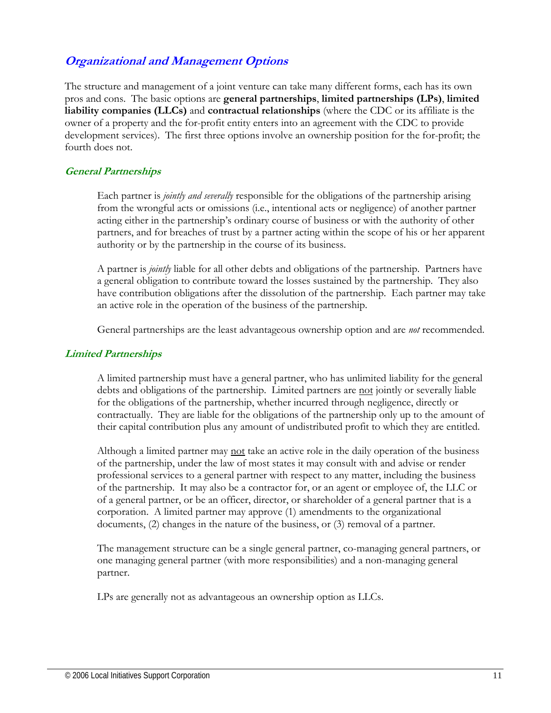# **Organizational and Management Options**

The structure and management of a joint venture can take many different forms, each has its own pros and cons. The basic options are **general partnerships**, **limited partnerships (LPs)**, **limited liability companies (LLCs)** and **contractual relationships** (where the CDC or its affiliate is the owner of a property and the for-profit entity enters into an agreement with the CDC to provide development services). The first three options involve an ownership position for the for-profit; the fourth does not.

## **General Partnerships**

Each partner is *jointly and severally* responsible for the obligations of the partnership arising from the wrongful acts or omissions (i.e., intentional acts or negligence) of another partner acting either in the partnership's ordinary course of business or with the authority of other partners, and for breaches of trust by a partner acting within the scope of his or her apparent authority or by the partnership in the course of its business.

A partner is *jointly* liable for all other debts and obligations of the partnership. Partners have a general obligation to contribute toward the losses sustained by the partnership. They also have contribution obligations after the dissolution of the partnership. Each partner may take an active role in the operation of the business of the partnership.

General partnerships are the least advantageous ownership option and are *not* recommended.

#### **Limited Partnerships**

A limited partnership must have a general partner, who has unlimited liability for the general debts and obligations of the partnership. Limited partners are not jointly or severally liable for the obligations of the partnership, whether incurred through negligence, directly or contractually. They are liable for the obligations of the partnership only up to the amount of their capital contribution plus any amount of undistributed profit to which they are entitled.

Although a limited partner may not take an active role in the daily operation of the business of the partnership, under the law of most states it may consult with and advise or render professional services to a general partner with respect to any matter, including the business of the partnership. It may also be a contractor for, or an agent or employee of, the LLC or of a general partner, or be an officer, director, or shareholder of a general partner that is a corporation. A limited partner may approve (1) amendments to the organizational documents, (2) changes in the nature of the business, or (3) removal of a partner.

The management structure can be a single general partner, co-managing general partners, or one managing general partner (with more responsibilities) and a non-managing general partner.

LPs are generally not as advantageous an ownership option as LLCs.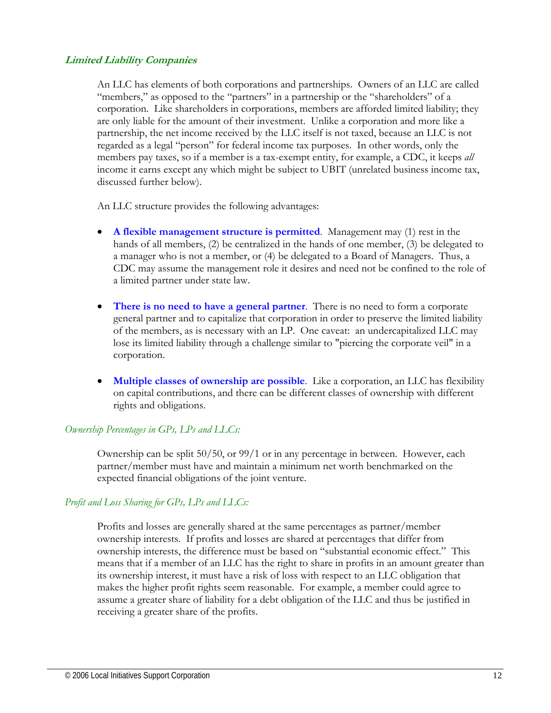#### **Limited Liability Companies**

An LLC has elements of both corporations and partnerships. Owners of an LLC are called "members," as opposed to the "partners" in a partnership or the "shareholders" of a corporation. Like shareholders in corporations, members are afforded limited liability; they are only liable for the amount of their investment. Unlike a corporation and more like a partnership, the net income received by the LLC itself is not taxed, because an LLC is not regarded as a legal "person" for federal income tax purposes. In other words, only the members pay taxes, so if a member is a tax-exempt entity, for example, a CDC, it keeps *all* income it earns except any which might be subject to UBIT (unrelated business income tax, discussed further below).

An LLC structure provides the following advantages:

- **A flexible management structure is permitted**. Management may (1) rest in the hands of all members, (2) be centralized in the hands of one member, (3) be delegated to a manager who is not a member, or (4) be delegated to a Board of Managers. Thus, a CDC may assume the management role it desires and need not be confined to the role of a limited partner under state law.
- **There is no need to have a general partner**. There is no need to form a corporate general partner and to capitalize that corporation in order to preserve the limited liability of the members, as is necessary with an LP. One caveat: an undercapitalized LLC may lose its limited liability through a challenge similar to "piercing the corporate veil" in a corporation.
- **Multiple classes of ownership are possible**. Like a corporation, an LLC has flexibility on capital contributions, and there can be different classes of ownership with different rights and obligations.

#### *Ownership Percentages in GPs, LPs and LLCs:*

Ownership can be split 50/50, or 99/1 or in any percentage in between. However, each partner/member must have and maintain a minimum net worth benchmarked on the expected financial obligations of the joint venture.

#### *Profit and Loss Sharing for GPs, LPs and LLCs:*

Profits and losses are generally shared at the same percentages as partner/member ownership interests. If profits and losses are shared at percentages that differ from ownership interests, the difference must be based on "substantial economic effect." This means that if a member of an LLC has the right to share in profits in an amount greater than its ownership interest, it must have a risk of loss with respect to an LLC obligation that makes the higher profit rights seem reasonable. For example, a member could agree to assume a greater share of liability for a debt obligation of the LLC and thus be justified in receiving a greater share of the profits.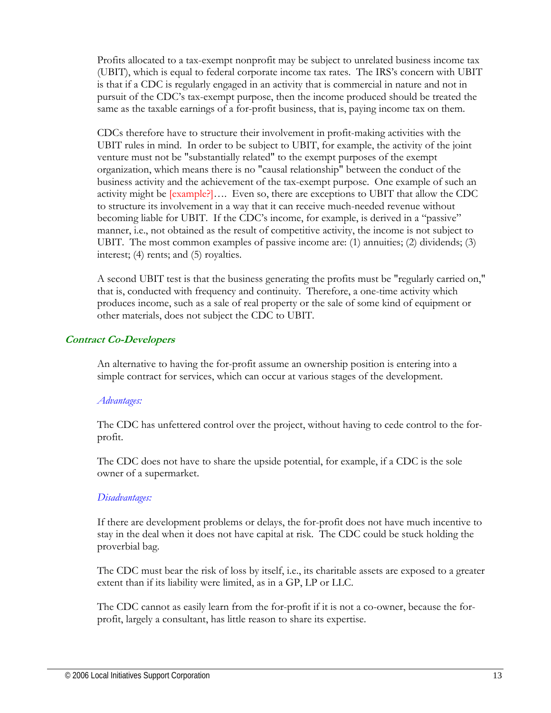Profits allocated to a tax-exempt nonprofit may be subject to unrelated business income tax (UBIT), which is equal to federal corporate income tax rates. The IRS's concern with UBIT is that if a CDC is regularly engaged in an activity that is commercial in nature and not in pursuit of the CDC's tax-exempt purpose, then the income produced should be treated the same as the taxable earnings of a for-profit business, that is, paying income tax on them.

CDCs therefore have to structure their involvement in profit-making activities with the UBIT rules in mind. In order to be subject to UBIT, for example, the activity of the joint venture must not be "substantially related" to the exempt purposes of the exempt organization, which means there is no "causal relationship" between the conduct of the business activity and the achievement of the tax-exempt purpose. One example of such an activity might be [example?]…. Even so, there are exceptions to UBIT that allow the CDC to structure its involvement in a way that it can receive much-needed revenue without becoming liable for UBIT. If the CDC's income, for example, is derived in a "passive" manner, i.e., not obtained as the result of competitive activity, the income is not subject to UBIT. The most common examples of passive income are: (1) annuities; (2) dividends; (3) interest; (4) rents; and (5) royalties.

A second UBIT test is that the business generating the profits must be "regularly carried on," that is, conducted with frequency and continuity. Therefore, a one-time activity which produces income, such as a sale of real property or the sale of some kind of equipment or other materials, does not subject the CDC to UBIT.

#### **Contract Co-Developers**

 An alternative to having the for-profit assume an ownership position is entering into a simple contract for services, which can occur at various stages of the development.

#### *Advantages:*

The CDC has unfettered control over the project, without having to cede control to the forprofit.

The CDC does not have to share the upside potential, for example, if a CDC is the sole owner of a supermarket.

#### *Disadvantages:*

If there are development problems or delays, the for-profit does not have much incentive to stay in the deal when it does not have capital at risk. The CDC could be stuck holding the proverbial bag.

The CDC must bear the risk of loss by itself, i.e., its charitable assets are exposed to a greater extent than if its liability were limited, as in a GP, LP or LLC.

The CDC cannot as easily learn from the for-profit if it is not a co-owner, because the forprofit, largely a consultant, has little reason to share its expertise.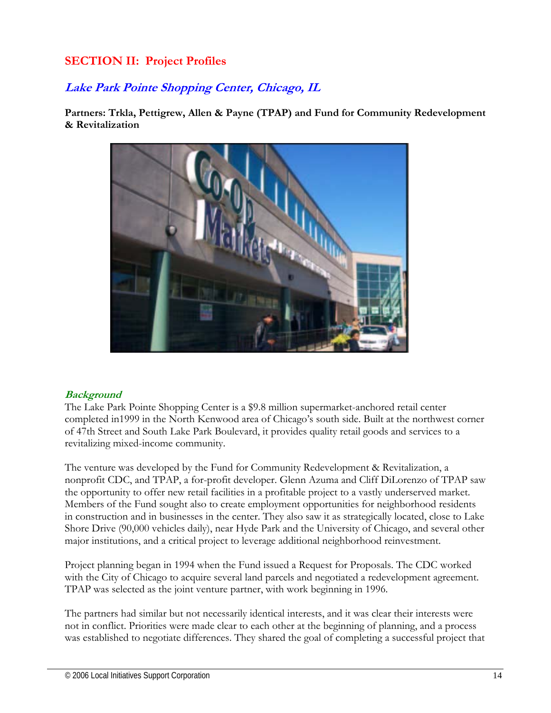# **SECTION II: Project Profiles**

# **Lake Park Pointe Shopping Center, Chicago, IL**

**Partners: Trkla, Pettigrew, Allen & Payne (TPAP) and Fund for Community Redevelopment & Revitalization** 



#### **Background**

The Lake Park Pointe Shopping Center is a \$9.8 million supermarket-anchored retail center completed in1999 in the North Kenwood area of Chicago's south side. Built at the northwest corner of 47th Street and South Lake Park Boulevard, it provides quality retail goods and services to a revitalizing mixed-income community.

The venture was developed by the Fund for Community Redevelopment & Revitalization, a nonprofit CDC, and TPAP, a for-profit developer. Glenn Azuma and Cliff DiLorenzo of TPAP saw the opportunity to offer new retail facilities in a profitable project to a vastly underserved market. Members of the Fund sought also to create employment opportunities for neighborhood residents in construction and in businesses in the center. They also saw it as strategically located, close to Lake Shore Drive (90,000 vehicles daily), near Hyde Park and the University of Chicago, and several other major institutions, and a critical project to leverage additional neighborhood reinvestment.

Project planning began in 1994 when the Fund issued a Request for Proposals. The CDC worked with the City of Chicago to acquire several land parcels and negotiated a redevelopment agreement. TPAP was selected as the joint venture partner, with work beginning in 1996.

The partners had similar but not necessarily identical interests, and it was clear their interests were not in conflict. Priorities were made clear to each other at the beginning of planning, and a process was established to negotiate differences. They shared the goal of completing a successful project that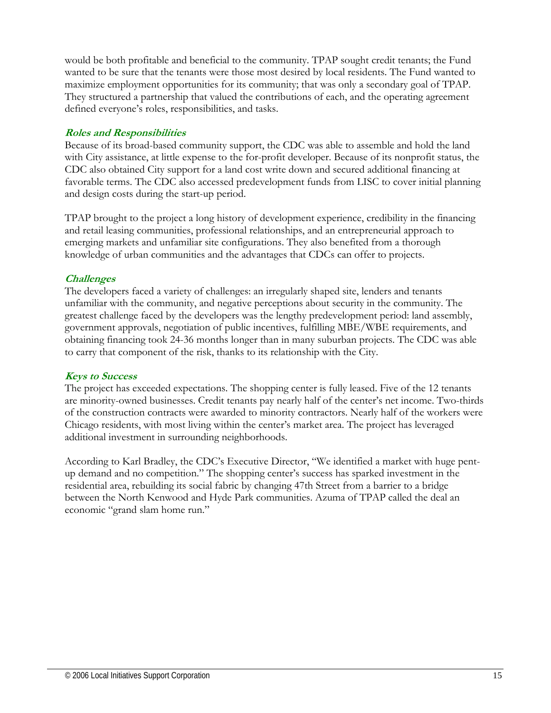would be both profitable and beneficial to the community. TPAP sought credit tenants; the Fund wanted to be sure that the tenants were those most desired by local residents. The Fund wanted to maximize employment opportunities for its community; that was only a secondary goal of TPAP. They structured a partnership that valued the contributions of each, and the operating agreement defined everyone's roles, responsibilities, and tasks.

#### **Roles and Responsibilities**

Because of its broad-based community support, the CDC was able to assemble and hold the land with City assistance, at little expense to the for-profit developer. Because of its nonprofit status, the CDC also obtained City support for a land cost write down and secured additional financing at favorable terms. The CDC also accessed predevelopment funds from LISC to cover initial planning and design costs during the start-up period.

TPAP brought to the project a long history of development experience, credibility in the financing and retail leasing communities, professional relationships, and an entrepreneurial approach to emerging markets and unfamiliar site configurations. They also benefited from a thorough knowledge of urban communities and the advantages that CDCs can offer to projects.

## **Challenges**

The developers faced a variety of challenges: an irregularly shaped site, lenders and tenants unfamiliar with the community, and negative perceptions about security in the community. The greatest challenge faced by the developers was the lengthy predevelopment period: land assembly, government approvals, negotiation of public incentives, fulfilling MBE/WBE requirements, and obtaining financing took 24-36 months longer than in many suburban projects. The CDC was able to carry that component of the risk, thanks to its relationship with the City.

#### **Keys to Success**

The project has exceeded expectations. The shopping center is fully leased. Five of the 12 tenants are minority-owned businesses. Credit tenants pay nearly half of the center's net income. Two-thirds of the construction contracts were awarded to minority contractors. Nearly half of the workers were Chicago residents, with most living within the center's market area. The project has leveraged additional investment in surrounding neighborhoods.

According to Karl Bradley, the CDC's Executive Director, "We identified a market with huge pentup demand and no competition." The shopping center's success has sparked investment in the residential area, rebuilding its social fabric by changing 47th Street from a barrier to a bridge between the North Kenwood and Hyde Park communities. Azuma of TPAP called the deal an economic "grand slam home run."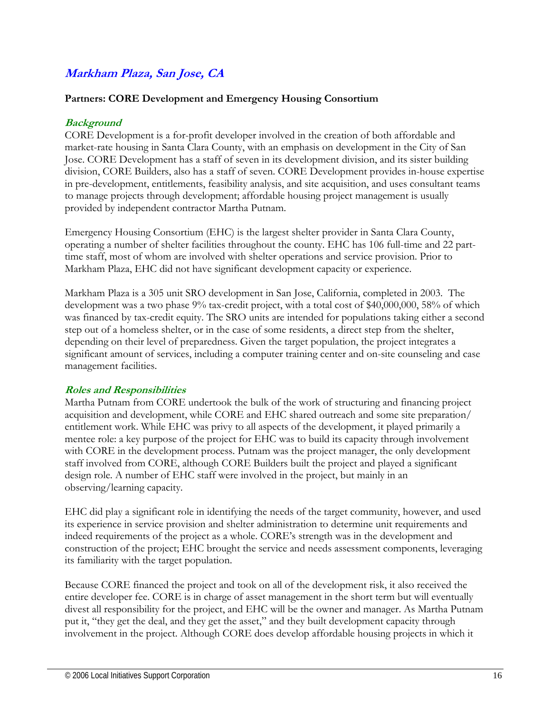# **Markham Plaza, San Jose, CA**

#### **Partners: CORE Development and Emergency Housing Consortium**

## **Background**

CORE Development is a for-profit developer involved in the creation of both affordable and market-rate housing in Santa Clara County, with an emphasis on development in the City of San Jose. CORE Development has a staff of seven in its development division, and its sister building division, CORE Builders, also has a staff of seven. CORE Development provides in-house expertise in pre-development, entitlements, feasibility analysis, and site acquisition, and uses consultant teams to manage projects through development; affordable housing project management is usually provided by independent contractor Martha Putnam.

Emergency Housing Consortium (EHC) is the largest shelter provider in Santa Clara County, operating a number of shelter facilities throughout the county. EHC has 106 full-time and 22 parttime staff, most of whom are involved with shelter operations and service provision. Prior to Markham Plaza, EHC did not have significant development capacity or experience.

Markham Plaza is a 305 unit SRO development in San Jose, California, completed in 2003. The development was a two phase 9% tax-credit project, with a total cost of \$40,000,000, 58% of which was financed by tax-credit equity. The SRO units are intended for populations taking either a second step out of a homeless shelter, or in the case of some residents, a direct step from the shelter, depending on their level of preparedness. Given the target population, the project integrates a significant amount of services, including a computer training center and on-site counseling and case management facilities.

#### **Roles and Responsibilities**

Martha Putnam from CORE undertook the bulk of the work of structuring and financing project acquisition and development, while CORE and EHC shared outreach and some site preparation/ entitlement work. While EHC was privy to all aspects of the development, it played primarily a mentee role: a key purpose of the project for EHC was to build its capacity through involvement with CORE in the development process. Putnam was the project manager, the only development staff involved from CORE, although CORE Builders built the project and played a significant design role. A number of EHC staff were involved in the project, but mainly in an observing/learning capacity.

EHC did play a significant role in identifying the needs of the target community, however, and used its experience in service provision and shelter administration to determine unit requirements and indeed requirements of the project as a whole. CORE's strength was in the development and construction of the project; EHC brought the service and needs assessment components, leveraging its familiarity with the target population.

Because CORE financed the project and took on all of the development risk, it also received the entire developer fee. CORE is in charge of asset management in the short term but will eventually divest all responsibility for the project, and EHC will be the owner and manager. As Martha Putnam put it, "they get the deal, and they get the asset," and they built development capacity through involvement in the project. Although CORE does develop affordable housing projects in which it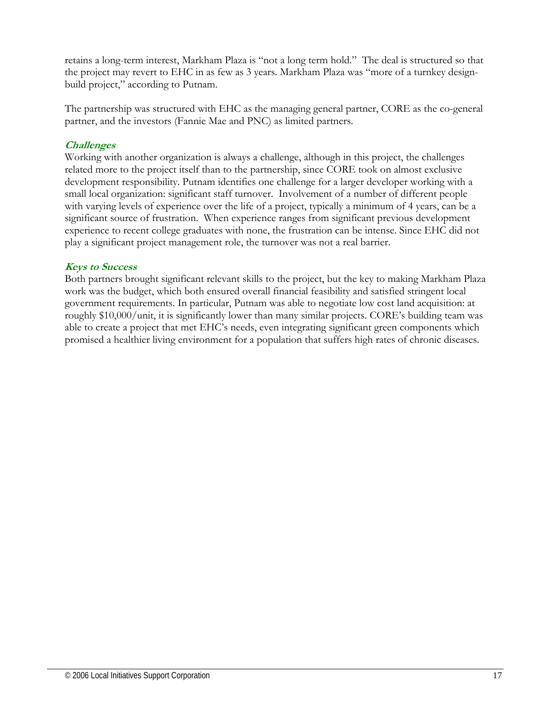retains a long-term interest, Markham Plaza is "not a long term hold." The deal is structured so that the project may revert to EHC in as few as 3 years. Markham Plaza was "more of a turnkey designbuild project," according to Putnam.

The partnership was structured with EHC as the managing general partner, CORE as the co-general partner, and the investors (Fannie Mae and PNC) as limited partners.

## **Challenges**

Working with another organization is always a challenge, although in this project, the challenges related more to the project itself than to the partnership, since CORE took on almost exclusive development responsibility. Putnam identifies one challenge for a larger developer working with a small local organization: significant staff turnover. Involvement of a number of different people with varying levels of experience over the life of a project, typically a minimum of 4 years, can be a significant source of frustration. When experience ranges from significant previous development experience to recent college graduates with none, the frustration can be intense. Since EHC did not play a significant project management role, the turnover was not a real barrier.

#### **Keys to Success**

Both partners brought significant relevant skills to the project, but the key to making Markham Plaza work was the budget, which both ensured overall financial feasibility and satisfied stringent local government requirements. In particular, Putnam was able to negotiate low cost land acquisition: at roughly \$10,000/unit, it is significantly lower than many similar projects. CORE's building team was able to create a project that met EHC's needs, even integrating significant green components which promised a healthier living environment for a population that suffers high rates of chronic diseases.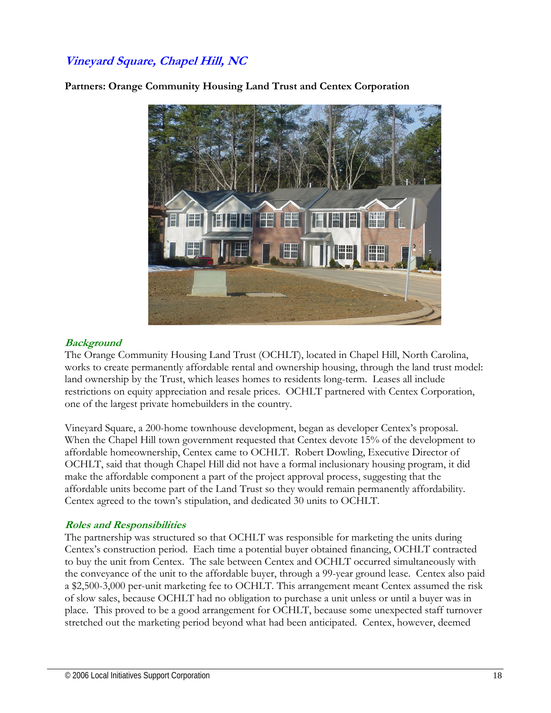# **Vineyard Square, Chapel Hill, NC**



**Partners: Orange Community Housing Land Trust and Centex Corporation** 

#### **Background**

The Orange Community Housing Land Trust (OCHLT), located in Chapel Hill, North Carolina, works to create permanently affordable rental and ownership housing, through the land trust model: land ownership by the Trust, which leases homes to residents long-term. Leases all include restrictions on equity appreciation and resale prices. OCHLT partnered with Centex Corporation, one of the largest private homebuilders in the country.

Vineyard Square, a 200-home townhouse development, began as developer Centex's proposal. When the Chapel Hill town government requested that Centex devote 15% of the development to affordable homeownership, Centex came to OCHLT. Robert Dowling, Executive Director of OCHLT, said that though Chapel Hill did not have a formal inclusionary housing program, it did make the affordable component a part of the project approval process, suggesting that the affordable units become part of the Land Trust so they would remain permanently affordability. Centex agreed to the town's stipulation, and dedicated 30 units to OCHLT.

#### **Roles and Responsibilities**

The partnership was structured so that OCHLT was responsible for marketing the units during Centex's construction period. Each time a potential buyer obtained financing, OCHLT contracted to buy the unit from Centex. The sale between Centex and OCHLT occurred simultaneously with the conveyance of the unit to the affordable buyer, through a 99-year ground lease. Centex also paid a \$2,500-3,000 per-unit marketing fee to OCHLT. This arrangement meant Centex assumed the risk of slow sales, because OCHLT had no obligation to purchase a unit unless or until a buyer was in place. This proved to be a good arrangement for OCHLT, because some unexpected staff turnover stretched out the marketing period beyond what had been anticipated. Centex, however, deemed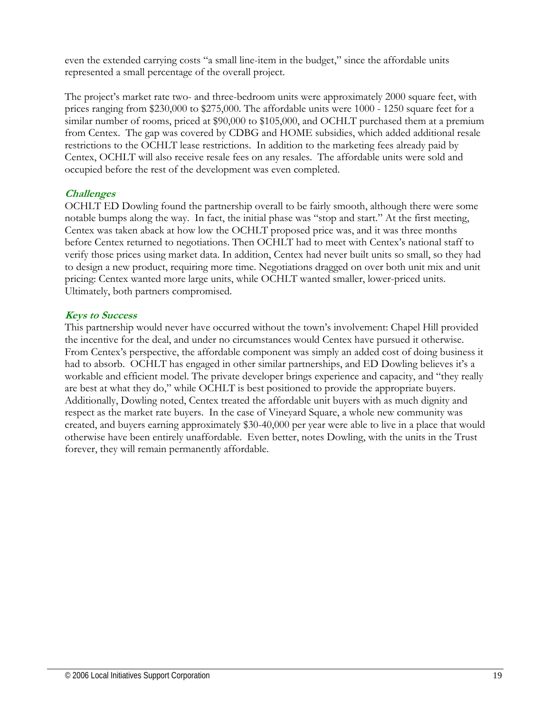even the extended carrying costs "a small line-item in the budget," since the affordable units represented a small percentage of the overall project.

The project's market rate two- and three-bedroom units were approximately 2000 square feet, with prices ranging from \$230,000 to \$275,000. The affordable units were 1000 - 1250 square feet for a similar number of rooms, priced at \$90,000 to \$105,000, and OCHLT purchased them at a premium from Centex. The gap was covered by CDBG and HOME subsidies, which added additional resale restrictions to the OCHLT lease restrictions. In addition to the marketing fees already paid by Centex, OCHLT will also receive resale fees on any resales. The affordable units were sold and occupied before the rest of the development was even completed.

#### **Challenges**

OCHLT ED Dowling found the partnership overall to be fairly smooth, although there were some notable bumps along the way. In fact, the initial phase was "stop and start." At the first meeting, Centex was taken aback at how low the OCHLT proposed price was, and it was three months before Centex returned to negotiations. Then OCHLT had to meet with Centex's national staff to verify those prices using market data. In addition, Centex had never built units so small, so they had to design a new product, requiring more time. Negotiations dragged on over both unit mix and unit pricing: Centex wanted more large units, while OCHLT wanted smaller, lower-priced units. Ultimately, both partners compromised.

#### **Keys to Success**

This partnership would never have occurred without the town's involvement: Chapel Hill provided the incentive for the deal, and under no circumstances would Centex have pursued it otherwise. From Centex's perspective, the affordable component was simply an added cost of doing business it had to absorb. OCHLT has engaged in other similar partnerships, and ED Dowling believes it's a workable and efficient model. The private developer brings experience and capacity, and "they really are best at what they do," while OCHLT is best positioned to provide the appropriate buyers. Additionally, Dowling noted, Centex treated the affordable unit buyers with as much dignity and respect as the market rate buyers. In the case of Vineyard Square, a whole new community was created, and buyers earning approximately \$30-40,000 per year were able to live in a place that would otherwise have been entirely unaffordable. Even better, notes Dowling, with the units in the Trust forever, they will remain permanently affordable.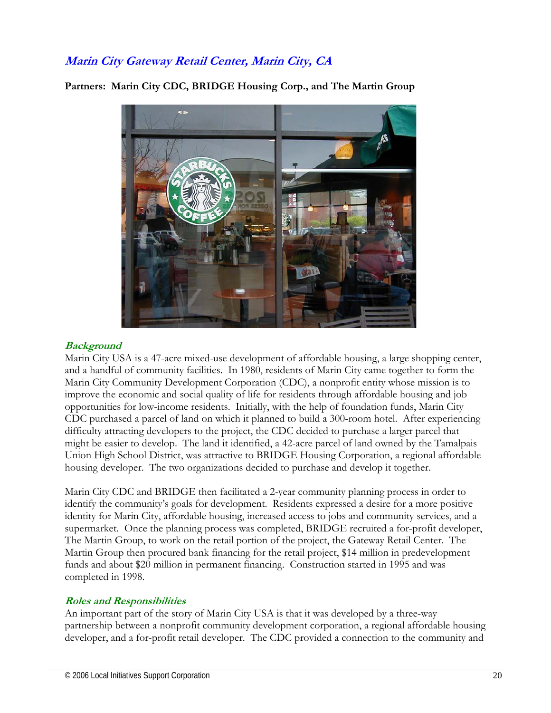# **Marin City Gateway Retail Center, Marin City, CA**



**Partners: Marin City CDC, BRIDGE Housing Corp., and The Martin Group** 

#### **Background**

Marin City USA is a 47-acre mixed-use development of affordable housing, a large shopping center, and a handful of community facilities. In 1980, residents of Marin City came together to form the Marin City Community Development Corporation (CDC), a nonprofit entity whose mission is to improve the economic and social quality of life for residents through affordable housing and job opportunities for low-income residents. Initially, with the help of foundation funds, Marin City CDC purchased a parcel of land on which it planned to build a 300-room hotel. After experiencing difficulty attracting developers to the project, the CDC decided to purchase a larger parcel that might be easier to develop. The land it identified, a 42-acre parcel of land owned by the Tamalpais Union High School District, was attractive to BRIDGE Housing Corporation, a regional affordable housing developer. The two organizations decided to purchase and develop it together.

Marin City CDC and BRIDGE then facilitated a 2-year community planning process in order to identify the community's goals for development. Residents expressed a desire for a more positive identity for Marin City, affordable housing, increased access to jobs and community services, and a supermarket. Once the planning process was completed, BRIDGE recruited a for-profit developer, The Martin Group, to work on the retail portion of the project, the Gateway Retail Center. The Martin Group then procured bank financing for the retail project, \$14 million in predevelopment funds and about \$20 million in permanent financing. Construction started in 1995 and was completed in 1998.

#### **Roles and Responsibilities**

An important part of the story of Marin City USA is that it was developed by a three-way partnership between a nonprofit community development corporation, a regional affordable housing developer, and a for-profit retail developer. The CDC provided a connection to the community and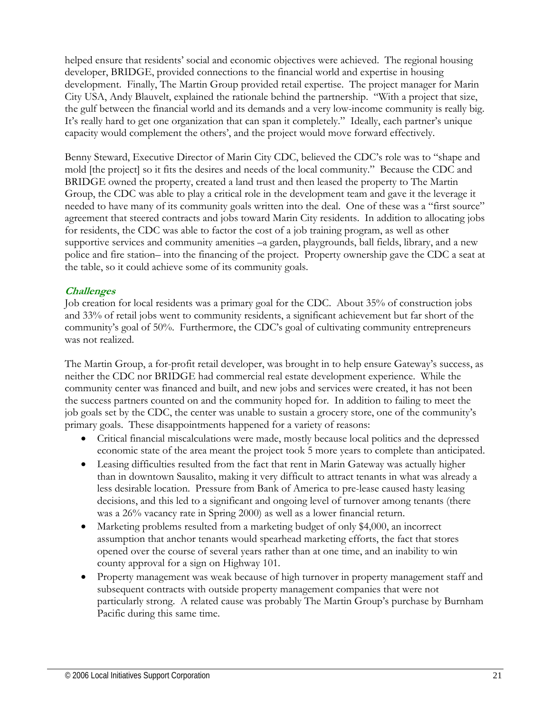helped ensure that residents' social and economic objectives were achieved. The regional housing developer, BRIDGE, provided connections to the financial world and expertise in housing development. Finally, The Martin Group provided retail expertise. The project manager for Marin City USA, Andy Blauvelt, explained the rationale behind the partnership. "With a project that size, the gulf between the financial world and its demands and a very low-income community is really big. It's really hard to get one organization that can span it completely." Ideally, each partner's unique capacity would complement the others', and the project would move forward effectively.

Benny Steward, Executive Director of Marin City CDC, believed the CDC's role was to "shape and mold [the project] so it fits the desires and needs of the local community." Because the CDC and BRIDGE owned the property, created a land trust and then leased the property to The Martin Group, the CDC was able to play a critical role in the development team and gave it the leverage it needed to have many of its community goals written into the deal. One of these was a "first source" agreement that steered contracts and jobs toward Marin City residents. In addition to allocating jobs for residents, the CDC was able to factor the cost of a job training program, as well as other supportive services and community amenities –a garden, playgrounds, ball fields, library, and a new police and fire station– into the financing of the project. Property ownership gave the CDC a seat at the table, so it could achieve some of its community goals.

#### **Challenges**

Job creation for local residents was a primary goal for the CDC. About 35% of construction jobs and 33% of retail jobs went to community residents, a significant achievement but far short of the community's goal of 50%. Furthermore, the CDC's goal of cultivating community entrepreneurs was not realized.

The Martin Group, a for-profit retail developer, was brought in to help ensure Gateway's success, as neither the CDC nor BRIDGE had commercial real estate development experience. While the community center was financed and built, and new jobs and services were created, it has not been the success partners counted on and the community hoped for. In addition to failing to meet the job goals set by the CDC, the center was unable to sustain a grocery store, one of the community's primary goals. These disappointments happened for a variety of reasons:

- Critical financial miscalculations were made, mostly because local politics and the depressed economic state of the area meant the project took 5 more years to complete than anticipated.
- Leasing difficulties resulted from the fact that rent in Marin Gateway was actually higher than in downtown Sausalito, making it very difficult to attract tenants in what was already a less desirable location. Pressure from Bank of America to pre-lease caused hasty leasing decisions, and this led to a significant and ongoing level of turnover among tenants (there was a 26% vacancy rate in Spring 2000) as well as a lower financial return.
- Marketing problems resulted from a marketing budget of only \$4,000, an incorrect assumption that anchor tenants would spearhead marketing efforts, the fact that stores opened over the course of several years rather than at one time, and an inability to win county approval for a sign on Highway 101.
- Property management was weak because of high turnover in property management staff and subsequent contracts with outside property management companies that were not particularly strong. A related cause was probably The Martin Group's purchase by Burnham Pacific during this same time.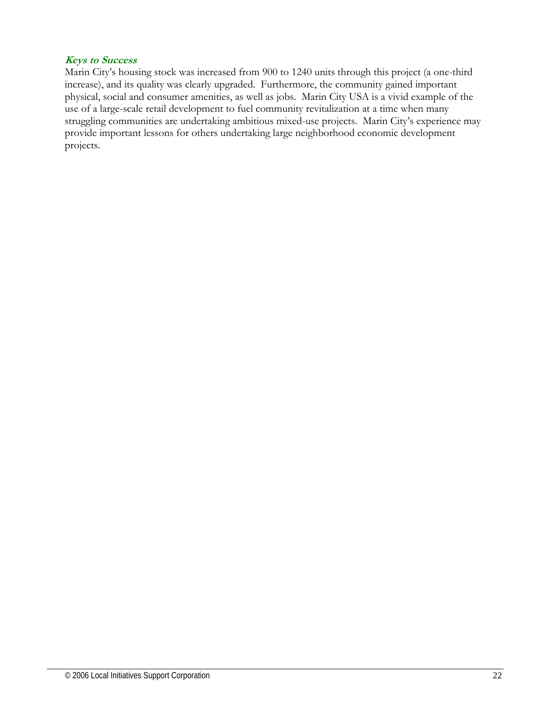#### **Keys to Success**

Marin City's housing stock was increased from 900 to 1240 units through this project (a one-third increase), and its quality was clearly upgraded. Furthermore, the community gained important physical, social and consumer amenities, as well as jobs. Marin City USA is a vivid example of the use of a large-scale retail development to fuel community revitalization at a time when many struggling communities are undertaking ambitious mixed-use projects. Marin City's experience may provide important lessons for others undertaking large neighborhood economic development projects.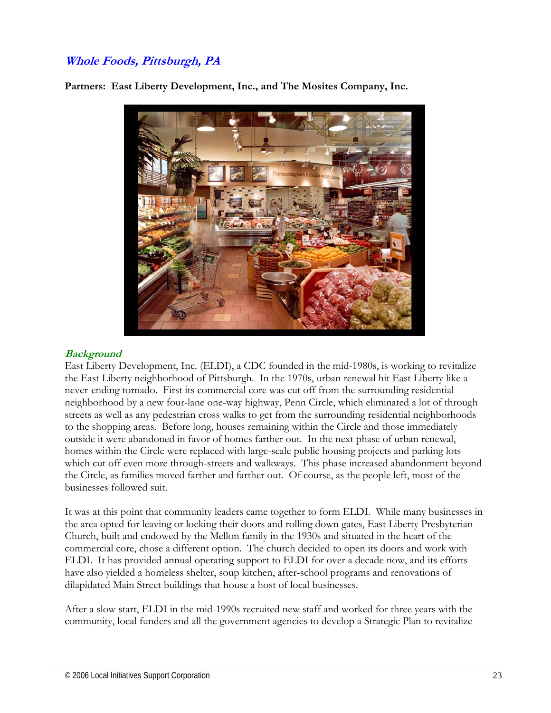# **Whole Foods, Pittsburgh, PA**

**Partners: East Liberty Development, Inc., and The Mosites Company, Inc.**



## **Background**

East Liberty Development, Inc. (ELDI), a CDC founded in the mid-1980s, is working to revitalize the East Liberty neighborhood of Pittsburgh. In the 1970s, urban renewal hit East Liberty like a never-ending tornado. First its commercial core was cut off from the surrounding residential neighborhood by a new four-lane one-way highway, Penn Circle, which eliminated a lot of through streets as well as any pedestrian cross walks to get from the surrounding residential neighborhoods to the shopping areas. Before long, houses remaining within the Circle and those immediately outside it were abandoned in favor of homes farther out. In the next phase of urban renewal, homes within the Circle were replaced with large-scale public housing projects and parking lots which cut off even more through-streets and walkways. This phase increased abandonment beyond the Circle, as families moved farther and farther out. Of course, as the people left, most of the businesses followed suit.

It was at this point that community leaders came together to form ELDI. While many businesses in the area opted for leaving or locking their doors and rolling down gates, East Liberty Presbyterian Church, built and endowed by the Mellon family in the 1930s and situated in the heart of the commercial core, chose a different option. The church decided to open its doors and work with ELDI. It has provided annual operating support to ELDI for over a decade now, and its efforts have also yielded a homeless shelter, soup kitchen, after-school programs and renovations of dilapidated Main Street buildings that house a host of local businesses.

After a slow start, ELDI in the mid-1990s recruited new staff and worked for three years with the community, local funders and all the government agencies to develop a Strategic Plan to revitalize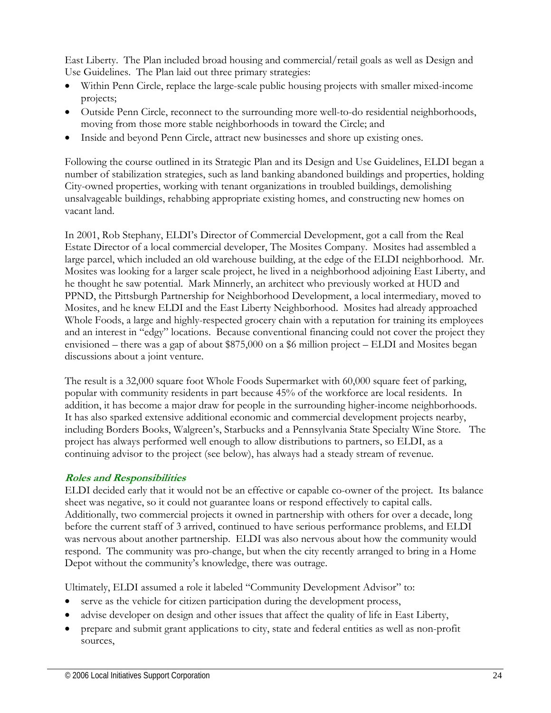East Liberty. The Plan included broad housing and commercial/retail goals as well as Design and Use Guidelines. The Plan laid out three primary strategies:

- Within Penn Circle, replace the large-scale public housing projects with smaller mixed-income projects;
- Outside Penn Circle, reconnect to the surrounding more well-to-do residential neighborhoods, moving from those more stable neighborhoods in toward the Circle; and
- Inside and beyond Penn Circle, attract new businesses and shore up existing ones.

Following the course outlined in its Strategic Plan and its Design and Use Guidelines, ELDI began a number of stabilization strategies, such as land banking abandoned buildings and properties, holding City-owned properties, working with tenant organizations in troubled buildings, demolishing unsalvageable buildings, rehabbing appropriate existing homes, and constructing new homes on vacant land.

In 2001, Rob Stephany, ELDI's Director of Commercial Development, got a call from the Real Estate Director of a local commercial developer, The Mosites Company. Mosites had assembled a large parcel, which included an old warehouse building, at the edge of the ELDI neighborhood. Mr. Mosites was looking for a larger scale project, he lived in a neighborhood adjoining East Liberty, and he thought he saw potential. Mark Minnerly, an architect who previously worked at HUD and PPND, the Pittsburgh Partnership for Neighborhood Development, a local intermediary, moved to Mosites, and he knew ELDI and the East Liberty Neighborhood. Mosites had already approached Whole Foods, a large and highly-respected grocery chain with a reputation for training its employees and an interest in "edgy" locations. Because conventional financing could not cover the project they envisioned – there was a gap of about \$875,000 on a \$6 million project – ELDI and Mosites began discussions about a joint venture.

The result is a 32,000 square foot Whole Foods Supermarket with 60,000 square feet of parking, popular with community residents in part because 45% of the workforce are local residents. In addition, it has become a major draw for people in the surrounding higher-income neighborhoods. It has also sparked extensive additional economic and commercial development projects nearby, including Borders Books, Walgreen's, Starbucks and a Pennsylvania State Specialty Wine Store. The project has always performed well enough to allow distributions to partners, so ELDI, as a continuing advisor to the project (see below), has always had a steady stream of revenue.

#### **Roles and Responsibilities**

ELDI decided early that it would not be an effective or capable co-owner of the project. Its balance sheet was negative, so it could not guarantee loans or respond effectively to capital calls. Additionally, two commercial projects it owned in partnership with others for over a decade, long before the current staff of 3 arrived, continued to have serious performance problems, and ELDI was nervous about another partnership. ELDI was also nervous about how the community would respond. The community was pro-change, but when the city recently arranged to bring in a Home Depot without the community's knowledge, there was outrage.

Ultimately, ELDI assumed a role it labeled "Community Development Advisor" to:

- serve as the vehicle for citizen participation during the development process,
- advise developer on design and other issues that affect the quality of life in East Liberty,
- prepare and submit grant applications to city, state and federal entities as well as non-profit sources,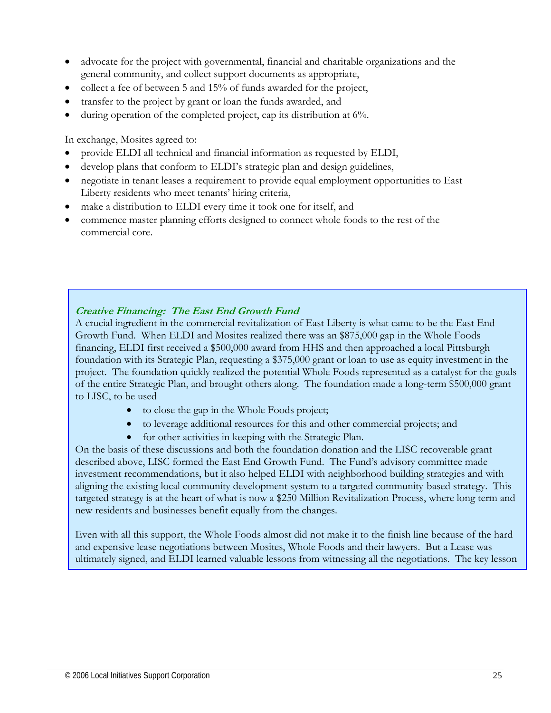- advocate for the project with governmental, financial and charitable organizations and the general community, and collect support documents as appropriate,
- collect a fee of between 5 and 15% of funds awarded for the project,
- transfer to the project by grant or loan the funds awarded, and
- during operation of the completed project, cap its distribution at 6%.

In exchange, Mosites agreed to:

- provide ELDI all technical and financial information as requested by ELDI,
- develop plans that conform to ELDI's strategic plan and design guidelines,
- negotiate in tenant leases a requirement to provide equal employment opportunities to East Liberty residents who meet tenants' hiring criteria,
- make a distribution to ELDI every time it took one for itself, and
- commence master planning efforts designed to connect whole foods to the rest of the commercial core.

**Creative Financing: The East End Growth Fund** 

A crucial ingredient in the commercial revitalization of East Liberty is what came to be the East End Growth Fund. When ELDI and Mosites realized there was an \$875,000 gap in the Whole Foods financing, ELDI first received a \$500,000 award from HHS and then approached a local Pittsburgh foundation with its Strategic Plan, requesting a \$375,000 grant or loan to use as equity investment in the project. The foundation quickly realized the potential Whole Foods represented as a catalyst for the goals of the entire Strategic Plan, and brought others along. The foundation made a long-term \$500,000 grant to LISC, to be used

- to close the gap in the Whole Foods project;
- to leverage additional resources for this and other commercial projects; and
- for other activities in keeping with the Strategic Plan.

On the basis of these discussions and both the foundation donation and the LISC recoverable grant described above, LISC formed the East End Growth Fund. The Fund's advisory committee made investment recommendations, but it also helped ELDI with neighborhood building strategies and with aligning the existing local community development system to a targeted community-based strategy. This targeted strategy is at the heart of what is now a \$250 Million Revitalization Process, where long term and new residents and businesses benefit equally from the changes.

Even with all this support, the Whole Foods almost did not make it to the finish line because of the hard and expensive lease negotiations between Mosites, Whole Foods and their lawyers. But a Lease was ultimately signed, and ELDI learned valuable lessons from witnessing all the negotiations. The key lesson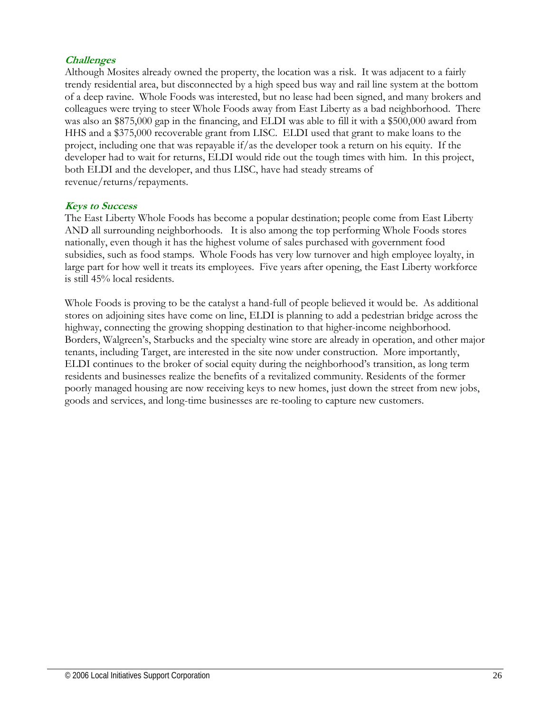## **Challenges**

Although Mosites already owned the property, the location was a risk. It was adjacent to a fairly trendy residential area, but disconnected by a high speed bus way and rail line system at the bottom of a deep ravine. Whole Foods was interested, but no lease had been signed, and many brokers and colleagues were trying to steer Whole Foods away from East Liberty as a bad neighborhood. There was also an \$875,000 gap in the financing, and ELDI was able to fill it with a \$500,000 award from HHS and a \$375,000 recoverable grant from LISC. ELDI used that grant to make loans to the project, including one that was repayable if/as the developer took a return on his equity. If the developer had to wait for returns, ELDI would ride out the tough times with him. In this project, both ELDI and the developer, and thus LISC, have had steady streams of revenue/returns/repayments.

#### **Keys to Success**

The East Liberty Whole Foods has become a popular destination; people come from East Liberty AND all surrounding neighborhoods. It is also among the top performing Whole Foods stores nationally, even though it has the highest volume of sales purchased with government food subsidies, such as food stamps. Whole Foods has very low turnover and high employee loyalty, in large part for how well it treats its employees. Five years after opening, the East Liberty workforce is still 45% local residents.

Whole Foods is proving to be the catalyst a hand-full of people believed it would be. As additional stores on adjoining sites have come on line, ELDI is planning to add a pedestrian bridge across the highway, connecting the growing shopping destination to that higher-income neighborhood. Borders, Walgreen's, Starbucks and the specialty wine store are already in operation, and other major tenants, including Target, are interested in the site now under construction. More importantly, ELDI continues to the broker of social equity during the neighborhood's transition, as long term residents and businesses realize the benefits of a revitalized community. Residents of the former poorly managed housing are now receiving keys to new homes, just down the street from new jobs, goods and services, and long-time businesses are re-tooling to capture new customers.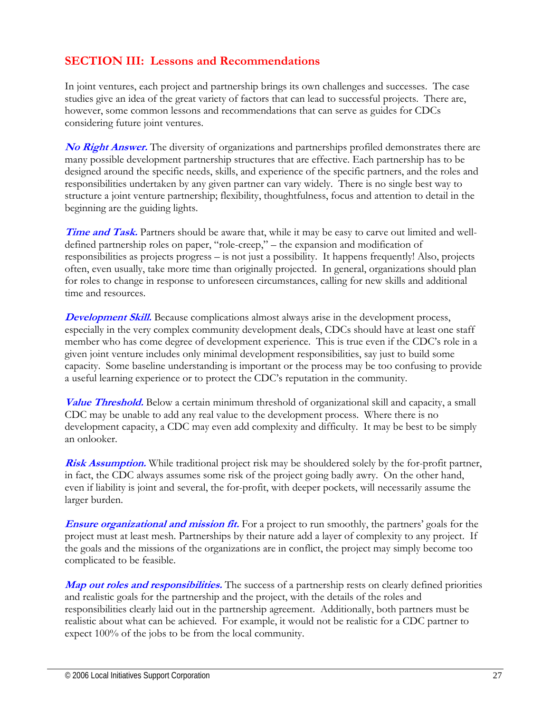# **SECTION III: Lessons and Recommendations**

In joint ventures, each project and partnership brings its own challenges and successes. The case studies give an idea of the great variety of factors that can lead to successful projects. There are, however, some common lessons and recommendations that can serve as guides for CDCs considering future joint ventures.

**No Right Answer.** The diversity of organizations and partnerships profiled demonstrates there are many possible development partnership structures that are effective. Each partnership has to be designed around the specific needs, skills, and experience of the specific partners, and the roles and responsibilities undertaken by any given partner can vary widely. There is no single best way to structure a joint venture partnership; flexibility, thoughtfulness, focus and attention to detail in the beginning are the guiding lights.

**Time and Task.** Partners should be aware that, while it may be easy to carve out limited and welldefined partnership roles on paper, "role-creep," – the expansion and modification of responsibilities as projects progress – is not just a possibility. It happens frequently! Also, projects often, even usually, take more time than originally projected. In general, organizations should plan for roles to change in response to unforeseen circumstances, calling for new skills and additional time and resources.

**Development Skill.** Because complications almost always arise in the development process, especially in the very complex community development deals, CDCs should have at least one staff member who has come degree of development experience. This is true even if the CDC's role in a given joint venture includes only minimal development responsibilities, say just to build some capacity. Some baseline understanding is important or the process may be too confusing to provide a useful learning experience or to protect the CDC's reputation in the community.

**Value Threshold.** Below a certain minimum threshold of organizational skill and capacity, a small CDC may be unable to add any real value to the development process. Where there is no development capacity, a CDC may even add complexity and difficulty. It may be best to be simply an onlooker.

**Risk Assumption.** While traditional project risk may be shouldered solely by the for-profit partner, in fact, the CDC always assumes some risk of the project going badly awry. On the other hand, even if liability is joint and several, the for-profit, with deeper pockets, will necessarily assume the larger burden.

**Ensure organizational and mission fit.** For a project to run smoothly, the partners' goals for the project must at least mesh. Partnerships by their nature add a layer of complexity to any project. If the goals and the missions of the organizations are in conflict, the project may simply become too complicated to be feasible.

**Map out roles and responsibilities.** The success of a partnership rests on clearly defined priorities and realistic goals for the partnership and the project, with the details of the roles and responsibilities clearly laid out in the partnership agreement. Additionally, both partners must be realistic about what can be achieved. For example, it would not be realistic for a CDC partner to expect 100% of the jobs to be from the local community.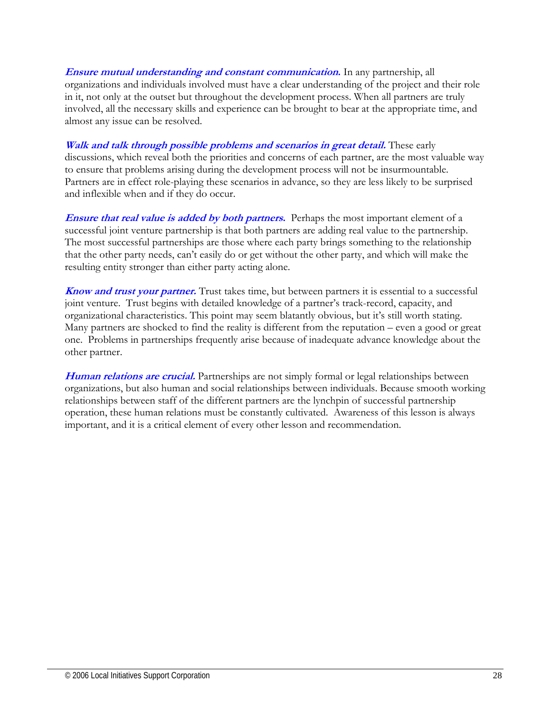**Ensure mutual understanding and constant communication.** In any partnership, all organizations and individuals involved must have a clear understanding of the project and their role in it, not only at the outset but throughout the development process. When all partners are truly involved, all the necessary skills and experience can be brought to bear at the appropriate time, and almost any issue can be resolved.

**Walk and talk through possible problems and scenarios in great detail.** These early discussions, which reveal both the priorities and concerns of each partner, are the most valuable way to ensure that problems arising during the development process will not be insurmountable. Partners are in effect role-playing these scenarios in advance, so they are less likely to be surprised and inflexible when and if they do occur.

**Ensure that real value is added by both partners.** Perhaps the most important element of a successful joint venture partnership is that both partners are adding real value to the partnership. The most successful partnerships are those where each party brings something to the relationship that the other party needs, can't easily do or get without the other party, and which will make the resulting entity stronger than either party acting alone.

**Know and trust your partner.** Trust takes time, but between partners it is essential to a successful joint venture. Trust begins with detailed knowledge of a partner's track-record, capacity, and organizational characteristics. This point may seem blatantly obvious, but it's still worth stating. Many partners are shocked to find the reality is different from the reputation – even a good or great one. Problems in partnerships frequently arise because of inadequate advance knowledge about the other partner.

**Human relations are crucial.** Partnerships are not simply formal or legal relationships between organizations, but also human and social relationships between individuals. Because smooth working relationships between staff of the different partners are the lynchpin of successful partnership operation, these human relations must be constantly cultivated. Awareness of this lesson is always important, and it is a critical element of every other lesson and recommendation.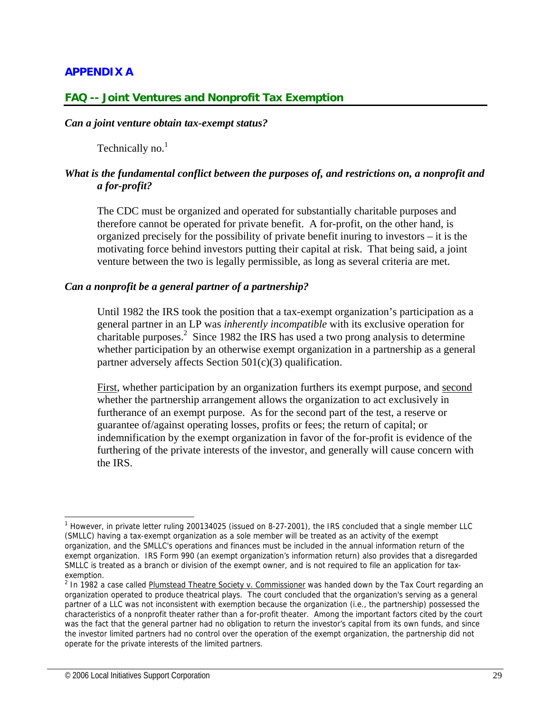## **APPENDIX A**

## **FAQ -- Joint Ventures and Nonprofit Tax Exemption**

#### *Can a joint venture obtain tax-exempt status?*

Technically no.<sup>1</sup>

## *What is the fundamental conflict between the purposes of, and restrictions on, a nonprofit and a for-profit?*

The CDC must be organized and operated for substantially charitable purposes and therefore cannot be operated for private benefit. A for-profit, on the other hand, is organized precisely for the possibility of private benefit inuring to investors – it is the motivating force behind investors putting their capital at risk. That being said, a joint venture between the two is legally permissible, as long as several criteria are met.

#### *Can a nonprofit be a general partner of a partnership?*

Until 1982 the IRS took the position that a tax-exempt organization's participation as a general partner in an LP was *inherently incompatible* with its exclusive operation for charitable purposes.<sup>2</sup> Since 1982 the IRS has used a two prong analysis to determine whether participation by an otherwise exempt organization in a partnership as a general partner adversely affects Section  $501(c)(3)$  qualification.

First, whether participation by an organization furthers its exempt purpose, and second whether the partnership arrangement allows the organization to act exclusively in furtherance of an exempt purpose. As for the second part of the test, a reserve or guarantee of/against operating losses, profits or fees; the return of capital; or indemnification by the exempt organization in favor of the for-profit is evidence of the furthering of the private interests of the investor, and generally will cause concern with the IRS.

 $\overline{\phantom{a}}$ 

<sup>&</sup>lt;sup>1</sup> However, in private letter ruling 200134025 (issued on 8-27-2001), the IRS concluded that a single member LLC (SMLLC) having a tax-exempt organization as a sole member will be treated as an activity of the exempt organization, and the SMLLC's operations and finances must be included in the annual information return of the exempt organization. IRS Form 990 (an exempt organization's information return) also provides that a disregarded SMLLC is treated as a branch or division of the exempt owner, and is not required to file an application for taxexemption.

<sup>&</sup>lt;sup>2</sup> In 1982 a case called Plumstead Theatre Society v. Commissioner was handed down by the Tax Court regarding an organization operated to produce theatrical plays. The court concluded that the organization's serving as a general partner of a LLC was not inconsistent with exemption because the organization (i.e., the partnership) possessed the characteristics of a nonprofit theater rather than a for-profit theater. Among the important factors cited by the court was the fact that the general partner had no obligation to return the investor's capital from its own funds, and since the investor limited partners had no control over the operation of the exempt organization, the partnership did not operate for the private interests of the limited partners.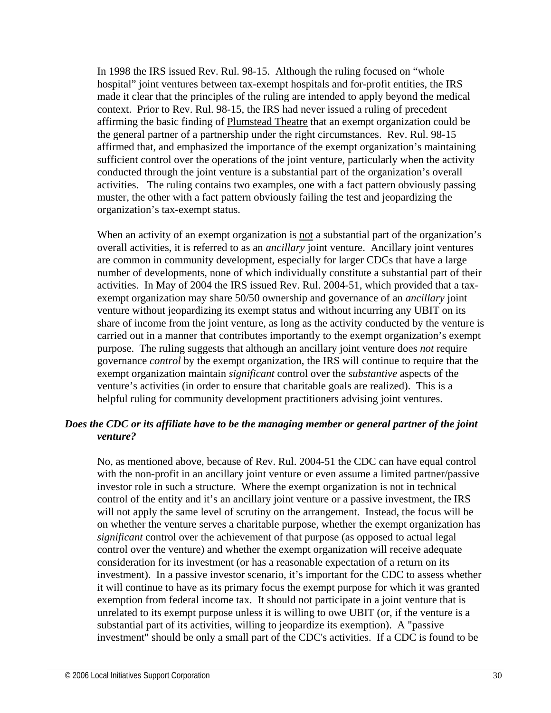In 1998 the IRS issued Rev. Rul. 98-15. Although the ruling focused on "whole hospital" joint ventures between tax-exempt hospitals and for-profit entities, the IRS made it clear that the principles of the ruling are intended to apply beyond the medical context. Prior to Rev. Rul. 98-15, the IRS had never issued a ruling of precedent affirming the basic finding of Plumstead Theatre that an exempt organization could be the general partner of a partnership under the right circumstances. Rev. Rul. 98-15 affirmed that, and emphasized the importance of the exempt organization's maintaining sufficient control over the operations of the joint venture, particularly when the activity conducted through the joint venture is a substantial part of the organization's overall activities. The ruling contains two examples, one with a fact pattern obviously passing muster, the other with a fact pattern obviously failing the test and jeopardizing the organization's tax-exempt status.

When an activity of an exempt organization is not a substantial part of the organization's overall activities, it is referred to as an *ancillary* joint venture. Ancillary joint ventures are common in community development, especially for larger CDCs that have a large number of developments, none of which individually constitute a substantial part of their activities. In May of 2004 the IRS issued Rev. Rul. 2004-51, which provided that a taxexempt organization may share 50/50 ownership and governance of an *ancillary* joint venture without jeopardizing its exempt status and without incurring any UBIT on its share of income from the joint venture, as long as the activity conducted by the venture is carried out in a manner that contributes importantly to the exempt organization's exempt purpose. The ruling suggests that although an ancillary joint venture does *not* require governance *control* by the exempt organization, the IRS will continue to require that the exempt organization maintain *significant* control over the *substantive* aspects of the venture's activities (in order to ensure that charitable goals are realized). This is a helpful ruling for community development practitioners advising joint ventures.

## *Does the CDC or its affiliate have to be the managing member or general partner of the joint venture?*

No, as mentioned above, because of Rev. Rul. 2004-51 the CDC can have equal control with the non-profit in an ancillary joint venture or even assume a limited partner/passive investor role in such a structure. Where the exempt organization is not in technical control of the entity and it's an ancillary joint venture or a passive investment, the IRS will not apply the same level of scrutiny on the arrangement. Instead, the focus will be on whether the venture serves a charitable purpose, whether the exempt organization has *significant* control over the achievement of that purpose (as opposed to actual legal control over the venture) and whether the exempt organization will receive adequate consideration for its investment (or has a reasonable expectation of a return on its investment). In a passive investor scenario, it's important for the CDC to assess whether it will continue to have as its primary focus the exempt purpose for which it was granted exemption from federal income tax. It should not participate in a joint venture that is unrelated to its exempt purpose unless it is willing to owe UBIT (or, if the venture is a substantial part of its activities, willing to jeopardize its exemption). A "passive investment" should be only a small part of the CDC's activities. If a CDC is found to be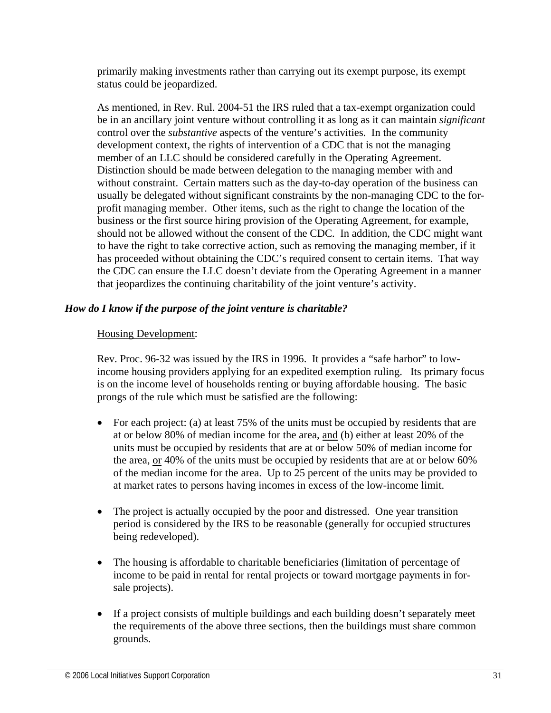primarily making investments rather than carrying out its exempt purpose, its exempt status could be jeopardized.

As mentioned, in Rev. Rul. 2004-51 the IRS ruled that a tax-exempt organization could be in an ancillary joint venture without controlling it as long as it can maintain *significant* control over the *substantive* aspects of the venture's activities. In the community development context, the rights of intervention of a CDC that is not the managing member of an LLC should be considered carefully in the Operating Agreement. Distinction should be made between delegation to the managing member with and without constraint. Certain matters such as the day-to-day operation of the business can usually be delegated without significant constraints by the non-managing CDC to the forprofit managing member. Other items, such as the right to change the location of the business or the first source hiring provision of the Operating Agreement, for example, should not be allowed without the consent of the CDC. In addition, the CDC might want to have the right to take corrective action, such as removing the managing member, if it has proceeded without obtaining the CDC's required consent to certain items. That way the CDC can ensure the LLC doesn't deviate from the Operating Agreement in a manner that jeopardizes the continuing charitability of the joint venture's activity.

## *How do I know if the purpose of the joint venture is charitable?*

## Housing Development:

Rev. Proc. 96-32 was issued by the IRS in 1996. It provides a "safe harbor" to lowincome housing providers applying for an expedited exemption ruling. Its primary focus is on the income level of households renting or buying affordable housing. The basic prongs of the rule which must be satisfied are the following:

- For each project: (a) at least 75% of the units must be occupied by residents that are at or below 80% of median income for the area, and (b) either at least 20% of the units must be occupied by residents that are at or below 50% of median income for the area, or 40% of the units must be occupied by residents that are at or below 60% of the median income for the area. Up to 25 percent of the units may be provided to at market rates to persons having incomes in excess of the low-income limit.
- The project is actually occupied by the poor and distressed. One year transition period is considered by the IRS to be reasonable (generally for occupied structures being redeveloped).
- The housing is affordable to charitable beneficiaries (limitation of percentage of income to be paid in rental for rental projects or toward mortgage payments in forsale projects).
- If a project consists of multiple buildings and each building doesn't separately meet the requirements of the above three sections, then the buildings must share common grounds.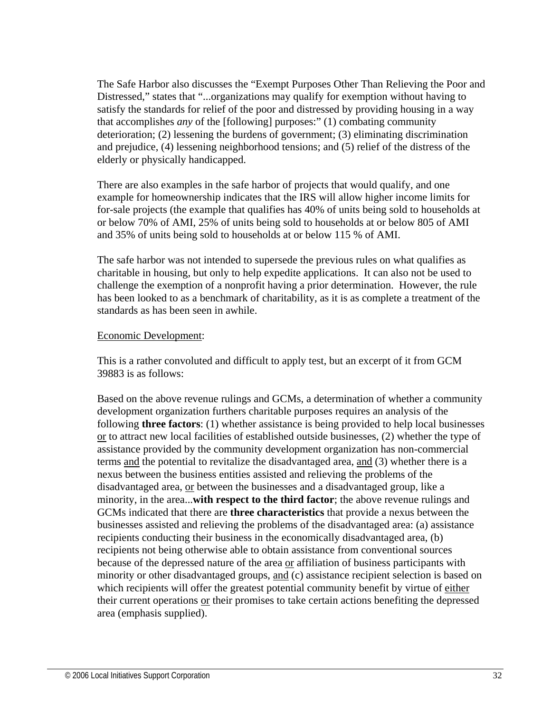The Safe Harbor also discusses the "Exempt Purposes Other Than Relieving the Poor and Distressed," states that "...organizations may qualify for exemption without having to satisfy the standards for relief of the poor and distressed by providing housing in a way that accomplishes *any* of the [following] purposes:" (1) combating community deterioration; (2) lessening the burdens of government; (3) eliminating discrimination and prejudice, (4) lessening neighborhood tensions; and (5) relief of the distress of the elderly or physically handicapped.

There are also examples in the safe harbor of projects that would qualify, and one example for homeownership indicates that the IRS will allow higher income limits for for-sale projects (the example that qualifies has 40% of units being sold to households at or below 70% of AMI, 25% of units being sold to households at or below 805 of AMI and 35% of units being sold to households at or below 115 % of AMI.

The safe harbor was not intended to supersede the previous rules on what qualifies as charitable in housing, but only to help expedite applications. It can also not be used to challenge the exemption of a nonprofit having a prior determination. However, the rule has been looked to as a benchmark of charitability, as it is as complete a treatment of the standards as has been seen in awhile.

#### Economic Development:

This is a rather convoluted and difficult to apply test, but an excerpt of it from GCM 39883 is as follows:

Based on the above revenue rulings and GCMs, a determination of whether a community development organization furthers charitable purposes requires an analysis of the following **three factors**: (1) whether assistance is being provided to help local businesses or to attract new local facilities of established outside businesses, (2) whether the type of assistance provided by the community development organization has non-commercial terms and the potential to revitalize the disadvantaged area, and (3) whether there is a nexus between the business entities assisted and relieving the problems of the disadvantaged area, or between the businesses and a disadvantaged group, like a minority, in the area...**with respect to the third factor**; the above revenue rulings and GCMs indicated that there are **three characteristics** that provide a nexus between the businesses assisted and relieving the problems of the disadvantaged area: (a) assistance recipients conducting their business in the economically disadvantaged area, (b) recipients not being otherwise able to obtain assistance from conventional sources because of the depressed nature of the area or affiliation of business participants with minority or other disadvantaged groups, and (c) assistance recipient selection is based on which recipients will offer the greatest potential community benefit by virtue of either their current operations or their promises to take certain actions benefiting the depressed area (emphasis supplied).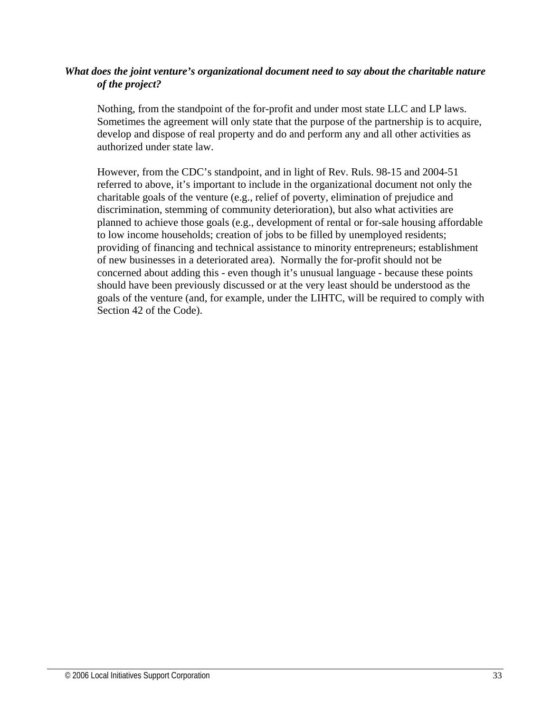## *What does the joint venture's organizational document need to say about the charitable nature of the project?*

Nothing, from the standpoint of the for-profit and under most state LLC and LP laws. Sometimes the agreement will only state that the purpose of the partnership is to acquire, develop and dispose of real property and do and perform any and all other activities as authorized under state law.

However, from the CDC's standpoint, and in light of Rev. Ruls. 98-15 and 2004-51 referred to above, it's important to include in the organizational document not only the charitable goals of the venture (e.g., relief of poverty, elimination of prejudice and discrimination, stemming of community deterioration), but also what activities are planned to achieve those goals (e.g., development of rental or for-sale housing affordable to low income households; creation of jobs to be filled by unemployed residents; providing of financing and technical assistance to minority entrepreneurs; establishment of new businesses in a deteriorated area). Normally the for-profit should not be concerned about adding this - even though it's unusual language - because these points should have been previously discussed or at the very least should be understood as the goals of the venture (and, for example, under the LIHTC, will be required to comply with Section 42 of the Code).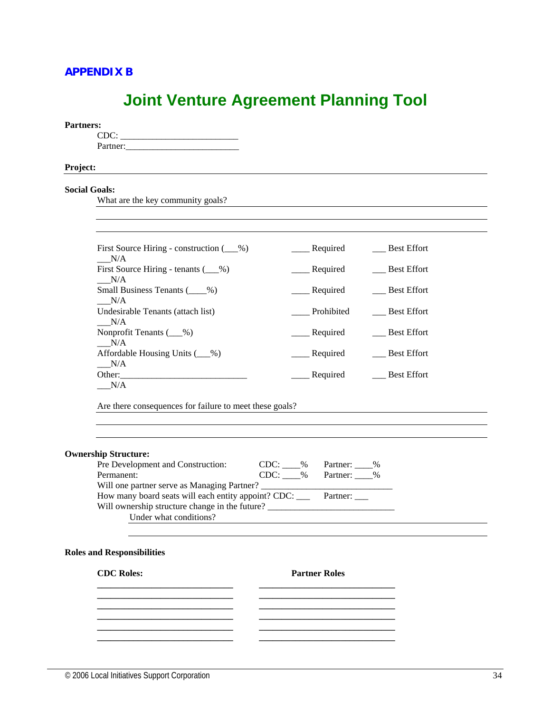## **APPENDIX B**

# **Joint Venture Agreement Planning Tool**

#### **Partners:**

 CDC: \_\_\_\_\_\_\_\_\_\_\_\_\_\_\_\_\_\_\_\_\_\_\_\_\_\_ Partner:\_\_\_\_\_\_\_\_\_\_\_\_\_\_\_\_\_\_\_\_\_\_\_\_\_

#### **Project:**

#### **Social Goals:**

What are the key community goals?

| N/A                                               | _____ Required  | <b>Best Effort</b> |
|---------------------------------------------------|-----------------|--------------------|
| First Source Hiring - tenants $($ ( $\%$ )<br>N/A | ____ Required   | <b>Best Effort</b> |
| Small Business Tenants (%)<br>N/A                 | Required        | <b>Best Effort</b> |
| Undesirable Tenants (attach list)<br>N/A          | Prohibited      | <b>Best Effort</b> |
| Nonprofit Tenants $(\_\_\%)$<br>N/A               | ______ Required | <b>Best Effort</b> |
| Affordable Housing Units (4.649)<br>N/A           | __ Required     | <b>Best Effort</b> |
| Other:<br>N/A                                     | Required        | <b>Best Effort</b> |

Are there consequences for failure to meet these goals?

 **\_\_\_\_\_\_\_\_\_\_\_\_\_\_\_\_\_\_\_\_\_\_\_\_\_\_\_\_\_\_ \_\_\_\_\_\_\_\_\_\_\_\_\_\_\_\_\_\_\_\_\_\_\_\_\_\_\_\_\_\_** 

 **\_\_\_\_\_\_\_\_\_\_\_\_\_\_\_\_\_\_\_\_\_\_\_\_\_\_\_\_\_\_ \_\_\_\_\_\_\_\_\_\_\_\_\_\_\_\_\_\_\_\_\_\_\_\_\_\_\_\_\_\_** 

#### **Ownership Structure:**

| Pre Development and Construction:                                         | CDC: % | Partner: %          |
|---------------------------------------------------------------------------|--------|---------------------|
| Permanent:                                                                |        | $CDC: %$ Partner: % |
|                                                                           |        |                     |
| How many board seats will each entity appoint? CDC: ______ Partner: _____ |        |                     |
| Will ownership structure change in the future?                            |        |                     |
| Under what conditions?                                                    |        |                     |

 **\_\_\_\_\_\_\_\_\_\_\_\_\_\_\_\_\_\_\_\_\_\_\_\_\_\_\_\_\_\_ \_\_\_\_\_\_\_\_\_\_\_\_\_\_\_\_\_\_\_\_\_\_\_\_\_\_\_\_\_\_** 

 **\_\_\_\_\_\_\_\_\_\_\_\_\_\_\_\_\_\_\_\_\_\_\_\_\_\_\_\_\_\_ \_\_\_\_\_\_\_\_\_\_\_\_\_\_\_\_\_\_\_\_\_\_\_\_\_\_\_\_\_\_ \_\_\_\_\_\_\_\_\_\_\_\_\_\_\_\_\_\_\_\_\_\_\_\_\_\_\_\_\_\_ \_\_\_\_\_\_\_\_\_\_\_\_\_\_\_\_\_\_\_\_\_\_\_\_\_\_\_\_\_\_** 

#### **Roles and Responsibilities**

#### **CDC Roles:** Partner Roles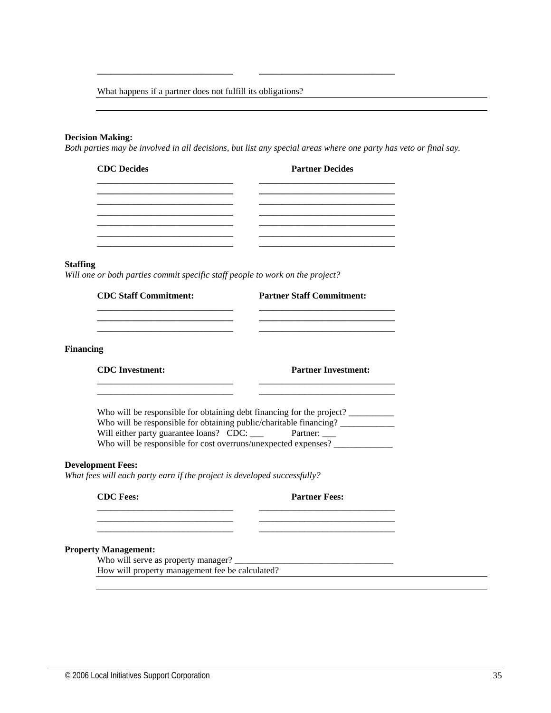What happens if a partner does not fulfill its obligations?

 **\_\_\_\_\_\_\_\_\_\_\_\_\_\_\_\_\_\_\_\_\_\_\_\_\_\_\_\_\_\_ \_\_\_\_\_\_\_\_\_\_\_\_\_\_\_\_\_\_\_\_\_\_\_\_\_\_\_\_\_\_** 

#### **Decision Making:**

*Both parties may be involved in all decisions, but list any special areas where one party has veto or final say.* 

| <b>Partner Decides</b> |
|------------------------|
|                        |
|                        |
|                        |
|                        |
|                        |
|                        |

#### **Staffing**

*Will one or both parties commit specific staff people to work on the project?* 

| <b>CDC Staff Commitment:</b> | <b>Partner Staff Commitment:</b> |  |
|------------------------------|----------------------------------|--|
|                              |                                  |  |
| <b>Financing</b>             |                                  |  |
| <b>CDC</b> Investment:       | <b>Partner Investment:</b>       |  |

| Who will be responsible for obtaining debt financing for the project? |          |  |
|-----------------------------------------------------------------------|----------|--|
| Who will be responsible for obtaining public/charitable financing?    |          |  |
| Will either party guarantee loans? CDC: ____                          | Partner: |  |
| Who will be responsible for cost overruns/unexpected expenses?        |          |  |

 $\frac{1}{2}$  ,  $\frac{1}{2}$  ,  $\frac{1}{2}$  ,  $\frac{1}{2}$  ,  $\frac{1}{2}$  ,  $\frac{1}{2}$  ,  $\frac{1}{2}$  ,  $\frac{1}{2}$  ,  $\frac{1}{2}$  ,  $\frac{1}{2}$  ,  $\frac{1}{2}$  ,  $\frac{1}{2}$  ,  $\frac{1}{2}$  ,  $\frac{1}{2}$  ,  $\frac{1}{2}$  ,  $\frac{1}{2}$  ,  $\frac{1}{2}$  ,  $\frac{1}{2}$  ,  $\frac{1$ 

#### **Development Fees:**

*What fees will each party earn if the project is developed successfully?* 

| <b>CDC</b> Fees: | <b>Partner Fees:</b> |
|------------------|----------------------|
|                  |                      |
|                  |                      |
| ________________ |                      |

#### **Property Management:**

Who will serve as property manager? How will property management fee be calculated?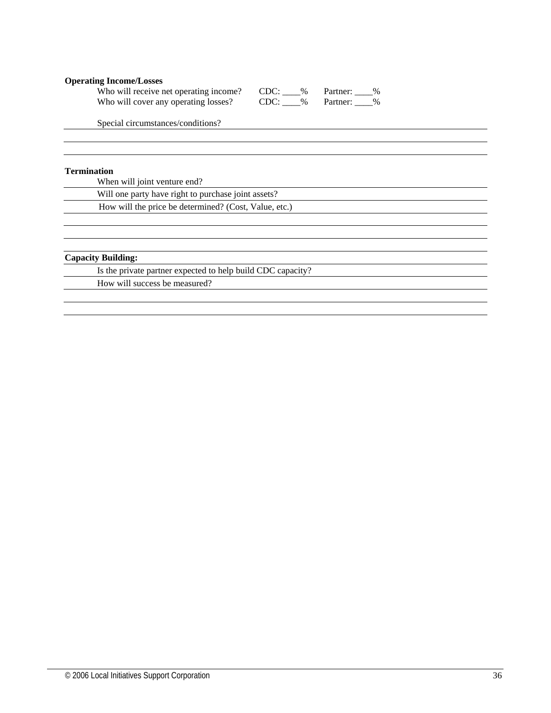#### **Operating Income/Losses**

| Who will receive net operating income? | CDC:<br>$\%$ | Partner: %   |
|----------------------------------------|--------------|--------------|
| Who will cover any operating losses?   | CDC:         | % Partner: % |

Special circumstances/conditions?

#### **Termination**

When will joint venture end?

Will one party have right to purchase joint assets?

How will the price be determined? (Cost, Value, etc.)

#### **Capacity Building:**

Is the private partner expected to help build CDC capacity?

How will success be measured?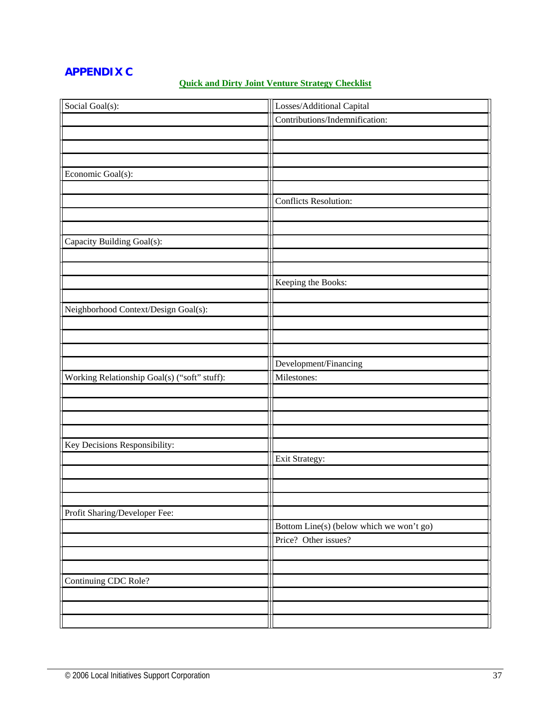# **APPENDIX C**

## **Quick and Dirty Joint Venture Strategy Checklist**

| Social Goal(s):                              | Losses/Additional Capital                |
|----------------------------------------------|------------------------------------------|
|                                              | Contributions/Indemnification:           |
|                                              |                                          |
|                                              |                                          |
|                                              |                                          |
| Economic Goal(s):                            |                                          |
|                                              |                                          |
|                                              | <b>Conflicts Resolution:</b>             |
|                                              |                                          |
|                                              |                                          |
| Capacity Building Goal(s):                   |                                          |
|                                              |                                          |
|                                              |                                          |
|                                              | Keeping the Books:                       |
|                                              |                                          |
| Neighborhood Context/Design Goal(s):         |                                          |
|                                              |                                          |
|                                              |                                          |
|                                              |                                          |
|                                              | Development/Financing                    |
| Working Relationship Goal(s) ("soft" stuff): | Milestones:                              |
|                                              |                                          |
|                                              |                                          |
|                                              |                                          |
|                                              |                                          |
| Key Decisions Responsibility:                |                                          |
|                                              | Exit Strategy:                           |
|                                              |                                          |
|                                              |                                          |
|                                              |                                          |
| Profit Sharing/Developer Fee:                |                                          |
|                                              | Bottom Line(s) (below which we won't go) |
|                                              | Price? Other issues?                     |
|                                              |                                          |
|                                              |                                          |
| Continuing CDC Role?                         |                                          |
|                                              |                                          |
|                                              |                                          |
|                                              |                                          |